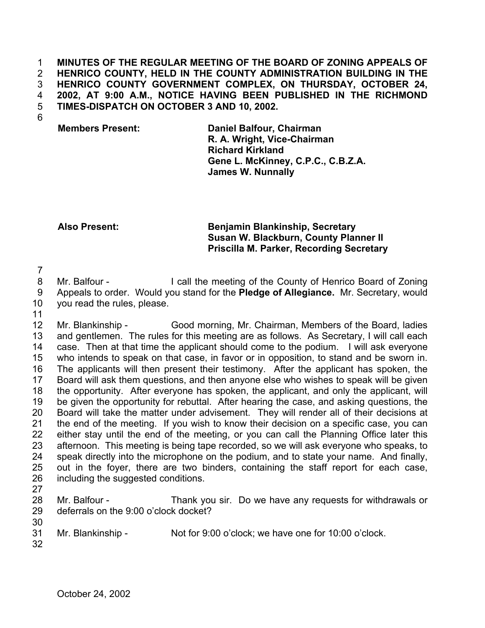## **MINUTES OF THE REGULAR MEETING OF THE BOARD OF ZONING APPEALS OF HENRICO COUNTY, HELD IN THE COUNTY ADMINISTRATION BUILDING IN THE HENRICO COUNTY GOVERNMENT COMPLEX, ON THURSDAY, OCTOBER 24, 2002, AT 9:00 A.M., NOTICE HAVING BEEN PUBLISHED IN THE RICHMOND TIMES-DISPATCH ON OCTOBER 3 AND 10, 2002.**  1 2 3 4 5

6

## **Members Present: Daniel Balfour, Chairman R. A. Wright, Vice-Chairman Richard Kirkland Gene L. McKinney, C.P.C., C.B.Z.A. James W. Nunnally**

## **Also Present: Benjamin Blankinship, Secretary Susan W. Blackburn, County Planner II Priscilla M. Parker, Recording Secretary**

7

8 9 10 Mr. Balfour - I call the meeting of the County of Henrico Board of Zoning Appeals to order. Would you stand for the **Pledge of Allegiance.** Mr. Secretary, would you read the rules, please.

11

12 13 14 15 16 17 18 19 20 21 22 23 24 25 26 Mr. Blankinship - Good morning, Mr. Chairman, Members of the Board, ladies and gentlemen. The rules for this meeting are as follows. As Secretary, I will call each case. Then at that time the applicant should come to the podium. I will ask everyone who intends to speak on that case, in favor or in opposition, to stand and be sworn in. The applicants will then present their testimony. After the applicant has spoken, the Board will ask them questions, and then anyone else who wishes to speak will be given the opportunity. After everyone has spoken, the applicant, and only the applicant, will be given the opportunity for rebuttal. After hearing the case, and asking questions, the Board will take the matter under advisement. They will render all of their decisions at the end of the meeting. If you wish to know their decision on a specific case, you can either stay until the end of the meeting, or you can call the Planning Office later this afternoon. This meeting is being tape recorded, so we will ask everyone who speaks, to speak directly into the microphone on the podium, and to state your name. And finally, out in the foyer, there are two binders, containing the staff report for each case, including the suggested conditions.

27

30

28 29 Mr. Balfour - Thank you sir. Do we have any requests for withdrawals or deferrals on the 9:00 o'clock docket?

| 31 | Mr. Blankinship - | Not for 9:00 o'clock; we have one for 10:00 o'clock. |
|----|-------------------|------------------------------------------------------|
| 32 |                   |                                                      |

October 24, 2002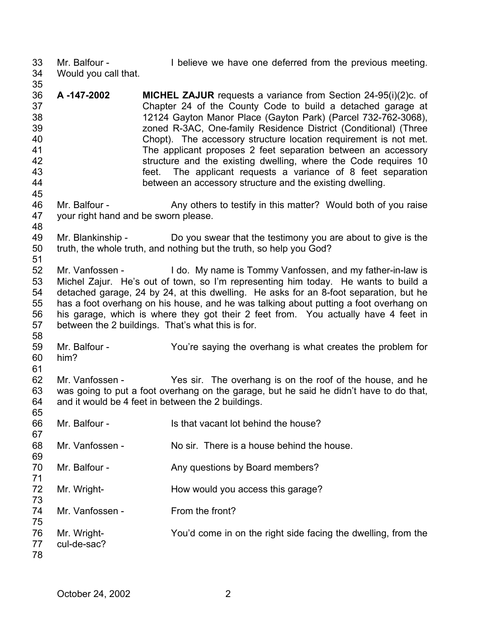33

Mr. Balfour - I believe we have one deferred from the previous meeting.

34 Would you call that.

- 35 36 37 38 39 40 41 42 43 44 45 **A -147-2002 MICHEL ZAJUR** requests a variance from Section 24-95(i)(2)c. of Chapter 24 of the County Code to build a detached garage at 12124 Gayton Manor Place (Gayton Park) (Parcel 732-762-3068), zoned R-3AC, One-family Residence District (Conditional) (Three Chopt). The accessory structure location requirement is not met. The applicant proposes 2 feet separation between an accessory structure and the existing dwelling, where the Code requires 10 feet. The applicant requests a variance of 8 feet separation between an accessory structure and the existing dwelling.
- 46 47 Mr. Balfour - Any others to testify in this matter? Would both of you raise your right hand and be sworn please.
- 49 50 51 Mr. Blankinship - Do you swear that the testimony you are about to give is the truth, the whole truth, and nothing but the truth, so help you God?
- 52 53 54 55 56 57 Mr. Vanfossen - I do. My name is Tommy Vanfossen, and my father-in-law is Michel Zajur. He's out of town, so I'm representing him today. He wants to build a detached garage, 24 by 24, at this dwelling. He asks for an 8-foot separation, but he has a foot overhang on his house, and he was talking about putting a foot overhang on his garage, which is where they got their 2 feet from. You actually have 4 feet in between the 2 buildings. That's what this is for.
- 58 59 60 Mr. Balfour - You're saying the overhang is what creates the problem for him?
- 61

- 62 63 64 Mr. Vanfossen - Yes sir. The overhang is on the roof of the house, and he was going to put a foot overhang on the garage, but he said he didn't have to do that, and it would be 4 feet in between the 2 buildings.
- 65 66 67 68 69 70 71 Mr. Balfour - Is that vacant lot behind the house? Mr. Vanfossen - No sir. There is a house behind the house. Mr. Balfour - Any questions by Board members?
- 72 73 Mr. Wright- **How would you access this garage?**
- 74 Mr. Vanfossen - From the front?
- 75 76 Mr. Wright- You'd come in on the right side facing the dwelling, from the
- 77 cul-de-sac?
- 78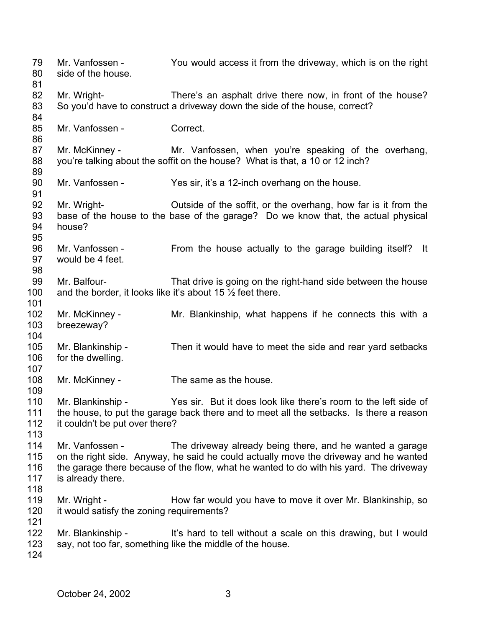79 80 81 82 83 84 85 86 87 88 89 90 91 92 93 94 95 96 97 98 99 100 101 102 103 104 105 106 107 108 109 110 111 112 113 114 115 116 117 118 119 120 121 122 123 124 Mr. Vanfossen - You would access it from the driveway, which is on the right side of the house. Mr. Wright- There's an asphalt drive there now, in front of the house? So you'd have to construct a driveway down the side of the house, correct? Mr. Vanfossen - Correct. Mr. McKinney - The Mr. Vanfossen, when you're speaking of the overhang, you're talking about the soffit on the house? What is that, a 10 or 12 inch? Mr. Vanfossen - Yes sir, it's a 12-inch overhang on the house. Mr. Wright- Outside of the soffit, or the overhang, how far is it from the base of the house to the base of the garage? Do we know that, the actual physical house? Mr. Vanfossen - From the house actually to the garage building itself? It would be 4 feet. Mr. Balfour- That drive is going on the right-hand side between the house and the border, it looks like it's about 15 ½ feet there. Mr. McKinney - The Mr. Blankinship, what happens if he connects this with a breezeway? Mr. Blankinship - Then it would have to meet the side and rear yard setbacks for the dwelling. Mr. McKinney - The same as the house. Mr. Blankinship - Yes sir. But it does look like there's room to the left side of the house, to put the garage back there and to meet all the setbacks. Is there a reason it couldn't be put over there? Mr. Vanfossen - The driveway already being there, and he wanted a garage on the right side. Anyway, he said he could actually move the driveway and he wanted the garage there because of the flow, what he wanted to do with his yard. The driveway is already there. Mr. Wright - **How far would you have to move it over Mr. Blankinship, so** it would satisfy the zoning requirements? Mr. Blankinship - It's hard to tell without a scale on this drawing, but I would say, not too far, something like the middle of the house.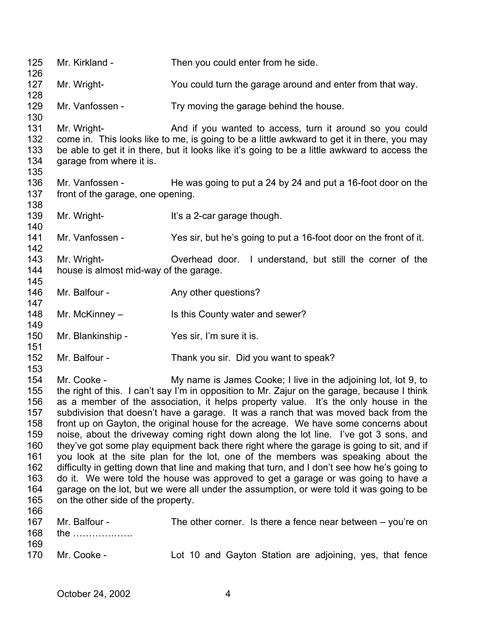| 125<br>126                                                                                     | Mr. Kirkland -                                                     | Then you could enter from he side.                                                                                                                                                                                                                                                                                                                                                                                                                                                                                                                                                                                                                                                                                                                                                                                                                                                                                                                                                                                                                             |
|------------------------------------------------------------------------------------------------|--------------------------------------------------------------------|----------------------------------------------------------------------------------------------------------------------------------------------------------------------------------------------------------------------------------------------------------------------------------------------------------------------------------------------------------------------------------------------------------------------------------------------------------------------------------------------------------------------------------------------------------------------------------------------------------------------------------------------------------------------------------------------------------------------------------------------------------------------------------------------------------------------------------------------------------------------------------------------------------------------------------------------------------------------------------------------------------------------------------------------------------------|
| 127<br>128                                                                                     | Mr. Wright-                                                        | You could turn the garage around and enter from that way.                                                                                                                                                                                                                                                                                                                                                                                                                                                                                                                                                                                                                                                                                                                                                                                                                                                                                                                                                                                                      |
| 129<br>130                                                                                     | Mr. Vanfossen -                                                    | Try moving the garage behind the house.                                                                                                                                                                                                                                                                                                                                                                                                                                                                                                                                                                                                                                                                                                                                                                                                                                                                                                                                                                                                                        |
| 131<br>132<br>133<br>134<br>135                                                                | Mr. Wright-<br>garage from where it is.                            | And if you wanted to access, turn it around so you could<br>come in. This looks like to me, is going to be a little awkward to get it in there, you may<br>be able to get it in there, but it looks like it's going to be a little awkward to access the                                                                                                                                                                                                                                                                                                                                                                                                                                                                                                                                                                                                                                                                                                                                                                                                       |
| 136<br>137<br>138                                                                              | Mr. Vanfossen -<br>front of the garage, one opening.               | He was going to put a 24 by 24 and put a 16-foot door on the                                                                                                                                                                                                                                                                                                                                                                                                                                                                                                                                                                                                                                                                                                                                                                                                                                                                                                                                                                                                   |
| 139<br>140                                                                                     | Mr. Wright-                                                        | It's a 2-car garage though.                                                                                                                                                                                                                                                                                                                                                                                                                                                                                                                                                                                                                                                                                                                                                                                                                                                                                                                                                                                                                                    |
| 141<br>142                                                                                     | Mr. Vanfossen -                                                    | Yes sir, but he's going to put a 16-foot door on the front of it.                                                                                                                                                                                                                                                                                                                                                                                                                                                                                                                                                                                                                                                                                                                                                                                                                                                                                                                                                                                              |
| 143<br>144<br>145                                                                              | Mr. Wright-<br>house is almost mid-way of the garage.              | Overhead door. I understand, but still the corner of the                                                                                                                                                                                                                                                                                                                                                                                                                                                                                                                                                                                                                                                                                                                                                                                                                                                                                                                                                                                                       |
| 146<br>147                                                                                     | Mr. Balfour -                                                      | Any other questions?                                                                                                                                                                                                                                                                                                                                                                                                                                                                                                                                                                                                                                                                                                                                                                                                                                                                                                                                                                                                                                           |
| 148<br>149                                                                                     | Mr. McKinney $-$                                                   | Is this County water and sewer?                                                                                                                                                                                                                                                                                                                                                                                                                                                                                                                                                                                                                                                                                                                                                                                                                                                                                                                                                                                                                                |
| 150<br>151                                                                                     | Mr. Blankinship -                                                  | Yes sir, I'm sure it is.                                                                                                                                                                                                                                                                                                                                                                                                                                                                                                                                                                                                                                                                                                                                                                                                                                                                                                                                                                                                                                       |
| 152<br>153                                                                                     | Mr. Balfour -                                                      | Thank you sir. Did you want to speak?                                                                                                                                                                                                                                                                                                                                                                                                                                                                                                                                                                                                                                                                                                                                                                                                                                                                                                                                                                                                                          |
| 154<br>155<br>156<br>157<br>158<br>159<br>160<br>161<br>162<br>163<br>164<br>165<br>166<br>167 | Mr. Cooke -<br>on the other side of the property.<br>Mr. Balfour - | My name is James Cooke; I live in the adjoining lot, lot 9, to<br>the right of this. I can't say I'm in opposition to Mr. Zajur on the garage, because I think<br>as a member of the association, it helps property value. It's the only house in the<br>subdivision that doesn't have a garage. It was a ranch that was moved back from the<br>front up on Gayton, the original house for the acreage. We have some concerns about<br>noise, about the driveway coming right down along the lot line. I've got 3 sons, and<br>they've got some play equipment back there right where the garage is going to sit, and if<br>you look at the site plan for the lot, one of the members was speaking about the<br>difficulty in getting down that line and making that turn, and I don't see how he's going to<br>do it. We were told the house was approved to get a garage or was going to have a<br>garage on the lot, but we were all under the assumption, or were told it was going to be<br>The other corner. Is there a fence near between $-$ you're on |
| 168<br>169                                                                                     | the                                                                |                                                                                                                                                                                                                                                                                                                                                                                                                                                                                                                                                                                                                                                                                                                                                                                                                                                                                                                                                                                                                                                                |
| 170                                                                                            | Mr. Cooke -                                                        | Lot 10 and Gayton Station are adjoining, yes, that fence                                                                                                                                                                                                                                                                                                                                                                                                                                                                                                                                                                                                                                                                                                                                                                                                                                                                                                                                                                                                       |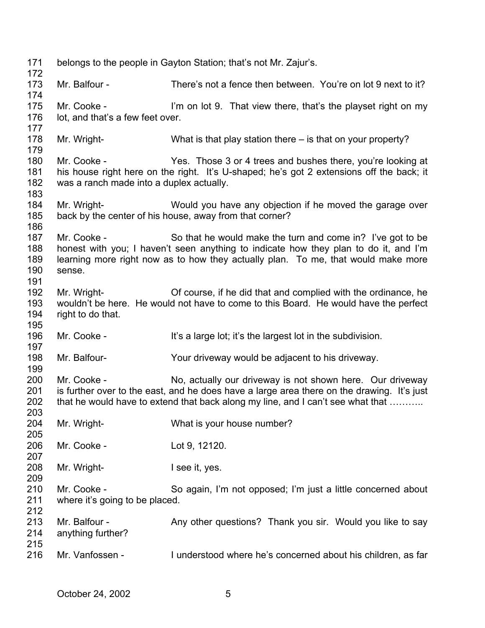| 171<br>172                      |                                                         | belongs to the people in Gayton Station; that's not Mr. Zajur's.                                                                                                                                                                           |
|---------------------------------|---------------------------------------------------------|--------------------------------------------------------------------------------------------------------------------------------------------------------------------------------------------------------------------------------------------|
| 173<br>174                      | Mr. Balfour -                                           | There's not a fence then between. You're on lot 9 next to it?                                                                                                                                                                              |
| 175<br>176<br>177               | Mr. Cooke -<br>lot, and that's a few feet over.         | I'm on lot 9. That view there, that's the playset right on my                                                                                                                                                                              |
| 178<br>179                      | Mr. Wright-                                             | What is that play station there – is that on your property?                                                                                                                                                                                |
| 180<br>181<br>182<br>183        | Mr. Cooke -<br>was a ranch made into a duplex actually. | Yes. Those 3 or 4 trees and bushes there, you're looking at<br>his house right here on the right. It's U-shaped; he's got 2 extensions off the back; it                                                                                    |
| 184<br>185<br>186               | Mr. Wright-                                             | Would you have any objection if he moved the garage over<br>back by the center of his house, away from that corner?                                                                                                                        |
| 187<br>188<br>189<br>190<br>191 | Mr. Cooke -<br>sense.                                   | So that he would make the turn and come in? I've got to be<br>honest with you; I haven't seen anything to indicate how they plan to do it, and I'm<br>learning more right now as to how they actually plan. To me, that would make more    |
| 192<br>193<br>194<br>195        | Mr. Wright-<br>right to do that.                        | Of course, if he did that and complied with the ordinance, he<br>wouldn't be here. He would not have to come to this Board. He would have the perfect                                                                                      |
| 196<br>197                      | Mr. Cooke -                                             | It's a large lot; it's the largest lot in the subdivision.                                                                                                                                                                                 |
| 198<br>199                      | Mr. Balfour-                                            | Your driveway would be adjacent to his driveway.                                                                                                                                                                                           |
| 200<br>201<br>202<br>203        | Mr. Cooke -                                             | No, actually our driveway is not shown here. Our driveway<br>is further over to the east, and he does have a large area there on the drawing. It's just<br>that he would have to extend that back along my line, and I can't see what that |
| 204<br>205                      | Mr. Wright-                                             | What is your house number?                                                                                                                                                                                                                 |
| 206<br>207                      | Mr. Cooke -                                             | Lot 9, 12120.                                                                                                                                                                                                                              |
| 208<br>209                      | Mr. Wright-                                             | I see it, yes.                                                                                                                                                                                                                             |
| 210<br>211<br>212               | Mr. Cooke -<br>where it's going to be placed.           | So again, I'm not opposed; I'm just a little concerned about                                                                                                                                                                               |
| 213<br>214<br>215               | Mr. Balfour -<br>anything further?                      | Any other questions? Thank you sir. Would you like to say                                                                                                                                                                                  |
| 216                             | Mr. Vanfossen -                                         | I understood where he's concerned about his children, as far                                                                                                                                                                               |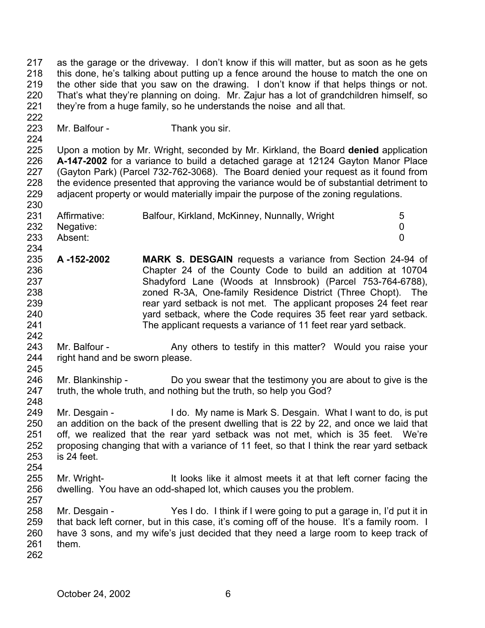217 218 219 220 221 222 as the garage or the driveway. I don't know if this will matter, but as soon as he gets this done, he's talking about putting up a fence around the house to match the one on the other side that you saw on the drawing. I don't know if that helps things or not. That's what they're planning on doing. Mr. Zajur has a lot of grandchildren himself, so they're from a huge family, so he understands the noise and all that.

223 Mr. Balfour - Thank you sir.

225 226 227 228 229 Upon a motion by Mr. Wright, seconded by Mr. Kirkland, the Board **denied** application **A-147-2002** for a variance to build a detached garage at 12124 Gayton Manor Place (Gayton Park) (Parcel 732-762-3068). The Board denied your request as it found from the evidence presented that approving the variance would be of substantial detriment to adjacent property or would materially impair the purpose of the zoning regulations.

| 231 | Affirmative:  | Balfour, Kirkland, McKinney, Nunnally, Wright |  |
|-----|---------------|-----------------------------------------------|--|
|     | 232 Negative: |                                               |  |
| 233 | Absent:       |                                               |  |

- 235 236 237 238 239 240 241 **A -152-2002 MARK S. DESGAIN** requests a variance from Section 24-94 of Chapter 24 of the County Code to build an addition at 10704 Shadyford Lane (Woods at Innsbrook) (Parcel 753-764-6788), zoned R-3A, One-family Residence District (Three Chopt). The rear yard setback is not met. The applicant proposes 24 feet rear yard setback, where the Code requires 35 feet rear yard setback. The applicant requests a variance of 11 feet rear yard setback.
- 243 244 Mr. Balfour - Any others to testify in this matter? Would you raise your right hand and be sworn please.
- 245 246 247 248 Mr. Blankinship - Do you swear that the testimony you are about to give is the truth, the whole truth, and nothing but the truth, so help you God?
- 249 250 251 252 253 Mr. Desgain - The I do. My name is Mark S. Desgain. What I want to do, is put an addition on the back of the present dwelling that is 22 by 22, and once we laid that off, we realized that the rear yard setback was not met, which is 35 feet. We're proposing changing that with a variance of 11 feet, so that I think the rear yard setback is 24 feet.
- 255 256 Mr. Wright- It looks like it almost meets it at that left corner facing the dwelling. You have an odd-shaped lot, which causes you the problem.
- 257 258 259 260 261 Mr. Desgain - Yes I do. I think if I were going to put a garage in, I'd put it in that back left corner, but in this case, it's coming off of the house. It's a family room. I have 3 sons, and my wife's just decided that they need a large room to keep track of them.
- 262

254

224

230

234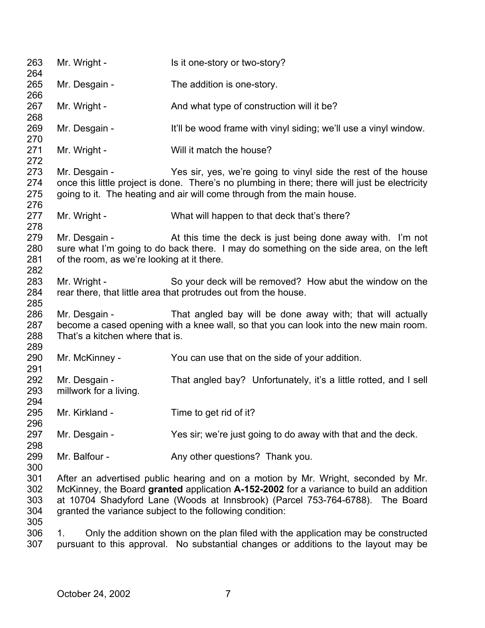263 264 265 266 267 268 269 270 271 272 273 274 275 276 277 278 279 280 281 282 283 284 285 286 287 288 289 290 291 292 293 294 295 296 297 298 299 300 301 302 303 304 305 306 307 Mr. Wright - Is it one-story or two-story? Mr. Desgain - The addition is one-story. Mr. Wright - And what type of construction will it be? Mr. Desgain - It'll be wood frame with vinyl siding; we'll use a vinyl window. Mr. Wright - Will it match the house? Mr. Desgain - Yes sir, yes, we're going to vinyl side the rest of the house once this little project is done. There's no plumbing in there; there will just be electricity going to it. The heating and air will come through from the main house. Mr. Wright - What will happen to that deck that's there? Mr. Desgain - At this time the deck is just being done away with. I'm not sure what I'm going to do back there. I may do something on the side area, on the left of the room, as we're looking at it there. Mr. Wright - So your deck will be removed? How abut the window on the rear there, that little area that protrudes out from the house. Mr. Desgain - That angled bay will be done away with; that will actually become a cased opening with a knee wall, so that you can look into the new main room. That's a kitchen where that is. Mr. McKinney - You can use that on the side of your addition. Mr. Desgain - That angled bay? Unfortunately, it's a little rotted, and I sell millwork for a living. Mr. Kirkland - Time to get rid of it? Mr. Desgain - Yes sir; we're just going to do away with that and the deck. Mr. Balfour - Any other questions? Thank you. After an advertised public hearing and on a motion by Mr. Wright, seconded by Mr. McKinney, the Board **granted** application **A-152-2002** for a variance to build an addition at 10704 Shadyford Lane (Woods at Innsbrook) (Parcel 753-764-6788). The Board granted the variance subject to the following condition: 1. Only the addition shown on the plan filed with the application may be constructed pursuant to this approval. No substantial changes or additions to the layout may be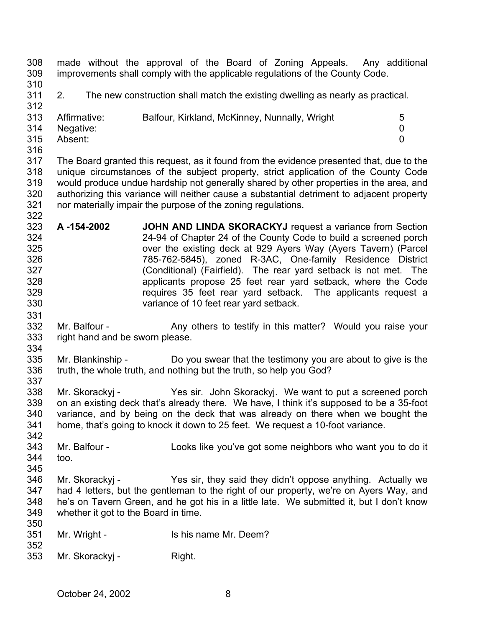308 309 made without the approval of the Board of Zoning Appeals. Any additional improvements shall comply with the applicable regulations of the County Code.

310

312

311 2. The new construction shall match the existing dwelling as nearly as practical.

| <u>- 15</u> |                  |                                               |   |
|-------------|------------------|-----------------------------------------------|---|
|             | 313 Affirmative: | Balfour, Kirkland, McKinney, Nunnally, Wright | 5 |
|             | 314 Negative:    |                                               |   |
| 315         | Absent:          |                                               |   |
|             |                  |                                               |   |

316

322

331

334

317 318 319 320 321 The Board granted this request, as it found from the evidence presented that, due to the unique circumstances of the subject property, strict application of the County Code would produce undue hardship not generally shared by other properties in the area, and authorizing this variance will neither cause a substantial detriment to adjacent property nor materially impair the purpose of the zoning regulations.

- 323 324 325 326 327 328 329 330 **A -154-2002 JOHN AND LINDA SKORACKYJ** request a variance from Section 24-94 of Chapter 24 of the County Code to build a screened porch over the existing deck at 929 Ayers Way (Ayers Tavern) (Parcel 785-762-5845), zoned R-3AC, One-family Residence District (Conditional) (Fairfield). The rear yard setback is not met. The applicants propose 25 feet rear yard setback, where the Code requires 35 feet rear yard setback. The applicants request a variance of 10 feet rear yard setback.
- 332 333 Mr. Balfour - Any others to testify in this matter? Would you raise your right hand and be sworn please.
- 335 336 337 Mr. Blankinship - Do you swear that the testimony you are about to give is the truth, the whole truth, and nothing but the truth, so help you God?
- 338 339 340 341 Mr. Skorackyj - Yes sir. John Skorackyj. We want to put a screened porch on an existing deck that's already there. We have, I think it's supposed to be a 35-foot variance, and by being on the deck that was already on there when we bought the home, that's going to knock it down to 25 feet. We request a 10-foot variance.
- 342 343 344 Mr. Balfour - Looks like you've got some neighbors who want you to do it too.
- 346 347 348 349 Mr. Skorackyj - Yes sir, they said they didn't oppose anything. Actually we had 4 letters, but the gentleman to the right of our property, we're on Ayers Way, and he's on Tavern Green, and he got his in a little late. We submitted it, but I don't know whether it got to the Board in time.
- 351 Mr. Wright - Is his name Mr. Deem?
- 352

350

345

353 Mr. Skorackyj - Right.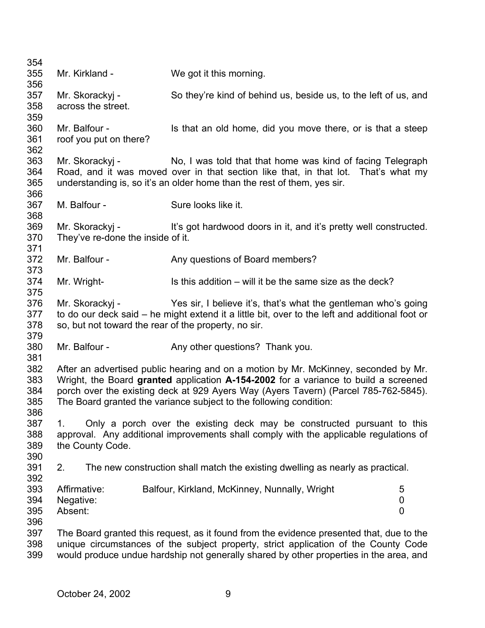354 355 356 357 358 359 360 361 362 363 364 365 366 367 368 369 370 371 372 373 374 375 376 377 378 379 380 381 382 383 384 385 386 387 388 389 390 391 392 393 394 395 396 397 398 399 Mr. Kirkland - We got it this morning. Mr. Skorackyj - So they're kind of behind us, beside us, to the left of us, and across the street. Mr. Balfour - Is that an old home, did you move there, or is that a steep roof you put on there? Mr. Skorackyj - No, I was told that that home was kind of facing Telegraph Road, and it was moved over in that section like that, in that lot. That's what my understanding is, so it's an older home than the rest of them, yes sir. M. Balfour - Sure looks like it. Mr. Skorackyj - It's got hardwood doors in it, and it's pretty well constructed. They've re-done the inside of it. Mr. Balfour - Any questions of Board members? Mr. Wright-  $\blacksquare$  Is this addition – will it be the same size as the deck? Mr. Skorackyj - Yes sir, I believe it's, that's what the gentleman who's going to do our deck said – he might extend it a little bit, over to the left and additional foot or so, but not toward the rear of the property, no sir. Mr. Balfour - Any other questions? Thank you. After an advertised public hearing and on a motion by Mr. McKinney, seconded by Mr. Wright, the Board **granted** application **A-154-2002** for a variance to build a screened porch over the existing deck at 929 Ayers Way (Ayers Tavern) (Parcel 785-762-5845). The Board granted the variance subject to the following condition: 1. Only a porch over the existing deck may be constructed pursuant to this approval. Any additional improvements shall comply with the applicable regulations of the County Code. 2. The new construction shall match the existing dwelling as nearly as practical. Affirmative: Balfour, Kirkland, McKinney, Nunnally, Wright 5 Negative: 0 Absent: 0 The Board granted this request, as it found from the evidence presented that, due to the unique circumstances of the subject property, strict application of the County Code would produce undue hardship not generally shared by other properties in the area, and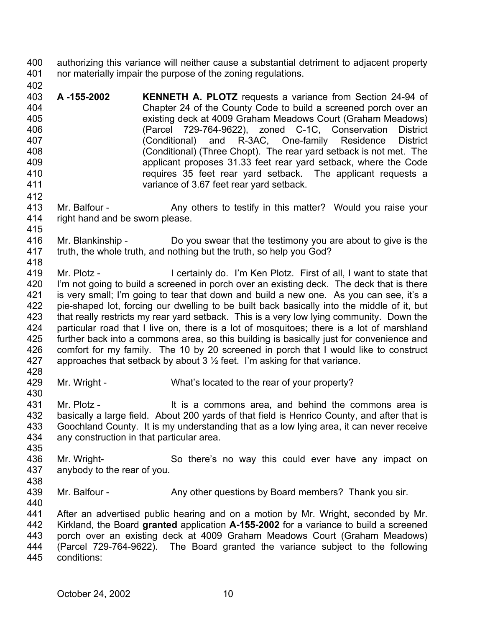- 400 401 authorizing this variance will neither cause a substantial detriment to adjacent property nor materially impair the purpose of the zoning regulations.
- 402

412

- 403 404 405 406 407 408 409 410 411 **A -155-2002 KENNETH A. PLOTZ** requests a variance from Section 24-94 of Chapter 24 of the County Code to build a screened porch over an existing deck at 4009 Graham Meadows Court (Graham Meadows) (Parcel 729-764-9622), zoned C-1C, Conservation District (Conditional) and R-3AC, One-family Residence District (Conditional) (Three Chopt). The rear yard setback is not met. The applicant proposes 31.33 feet rear yard setback, where the Code requires 35 feet rear yard setback. The applicant requests a variance of 3.67 feet rear yard setback.
- 413 414 Mr. Balfour - Any others to testify in this matter? Would you raise your right hand and be sworn please.
- 416 417 Mr. Blankinship - Do you swear that the testimony you are about to give is the truth, the whole truth, and nothing but the truth, so help you God?
- 418 419 420 421 422 423 424 425 426 427 Mr. Plotz - I certainly do. I'm Ken Plotz. First of all, I want to state that I'm not going to build a screened in porch over an existing deck. The deck that is there is very small; I'm going to tear that down and build a new one. As you can see, it's a pie-shaped lot, forcing our dwelling to be built back basically into the middle of it, but that really restricts my rear yard setback. This is a very low lying community. Down the particular road that I live on, there is a lot of mosquitoes; there is a lot of marshland further back into a commons area, so this building is basically just for convenience and comfort for my family. The 10 by 20 screened in porch that I would like to construct approaches that setback by about 3 ½ feet. I'm asking for that variance.
- 428
- 429 430 Mr. Wright - What's located to the rear of your property?
- 431 432 433 434 Mr. Plotz - The Music extends a commons area, and behind the commons area is basically a large field. About 200 yards of that field is Henrico County, and after that is Goochland County. It is my understanding that as a low lying area, it can never receive any construction in that particular area.
- 435
- 436 437 438 Mr. Wright- So there's no way this could ever have any impact on anybody to the rear of you.
- 439 Mr. Balfour - Any other questions by Board members? Thank you sir.
- 440
- 
- 441 442 443 444 445 After an advertised public hearing and on a motion by Mr. Wright, seconded by Mr. Kirkland, the Board **granted** application **A-155-2002** for a variance to build a screened porch over an existing deck at 4009 Graham Meadows Court (Graham Meadows) (Parcel 729-764-9622). The Board granted the variance subject to the following conditions: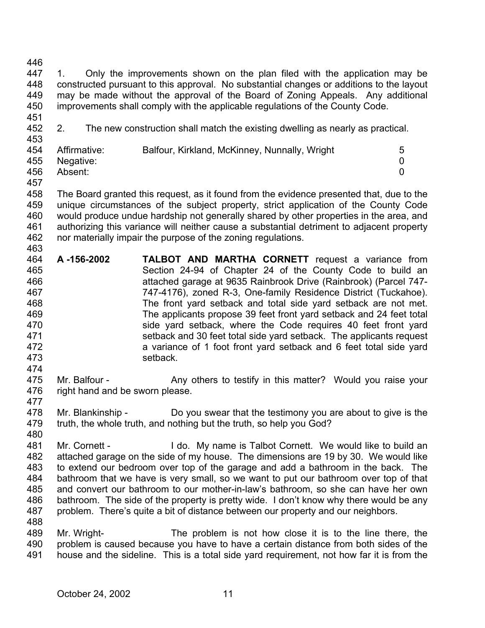446

447 448 449 450 1. Only the improvements shown on the plan filed with the application may be constructed pursuant to this approval. No substantial changes or additions to the layout may be made without the approval of the Board of Zoning Appeals. Any additional improvements shall comply with the applicable regulations of the County Code.

451 452

453

2. The new construction shall match the existing dwelling as nearly as practical.

| 454 | Affirmative:  | Balfour, Kirkland, McKinney, Nunnally, Wright | 5 |
|-----|---------------|-----------------------------------------------|---|
|     | 455 Negative: |                                               |   |
| 456 | Absent:       |                                               |   |

457

458 459 460 461 462 463 The Board granted this request, as it found from the evidence presented that, due to the unique circumstances of the subject property, strict application of the County Code would produce undue hardship not generally shared by other properties in the area, and authorizing this variance will neither cause a substantial detriment to adjacent property nor materially impair the purpose of the zoning regulations.

- 464 465 466 467 468 469 470 471 472 473 **A -156-2002 TALBOT AND MARTHA CORNETT** request a variance from Section 24-94 of Chapter 24 of the County Code to build an attached garage at 9635 Rainbrook Drive (Rainbrook) (Parcel 747- 747-4176), zoned R-3, One-family Residence District (Tuckahoe). The front yard setback and total side yard setback are not met. The applicants propose 39 feet front yard setback and 24 feet total side yard setback, where the Code requires 40 feet front yard setback and 30 feet total side yard setback. The applicants request a variance of 1 foot front yard setback and 6 feet total side yard setback.
- 475 476 Mr. Balfour - Any others to testify in this matter? Would you raise your right hand and be sworn please.
- 477

474

478 479 Mr. Blankinship - Do you swear that the testimony you are about to give is the truth, the whole truth, and nothing but the truth, so help you God?

480

481 482 483 484 485 486 487 488 Mr. Cornett - The I do. My name is Talbot Cornett. We would like to build an attached garage on the side of my house. The dimensions are 19 by 30. We would like to extend our bedroom over top of the garage and add a bathroom in the back. The bathroom that we have is very small, so we want to put our bathroom over top of that and convert our bathroom to our mother-in-law's bathroom, so she can have her own bathroom. The side of the property is pretty wide. I don't know why there would be any problem. There's quite a bit of distance between our property and our neighbors.

489 490 491 Mr. Wright- The problem is not how close it is to the line there, the problem is caused because you have to have a certain distance from both sides of the house and the sideline. This is a total side yard requirement, not how far it is from the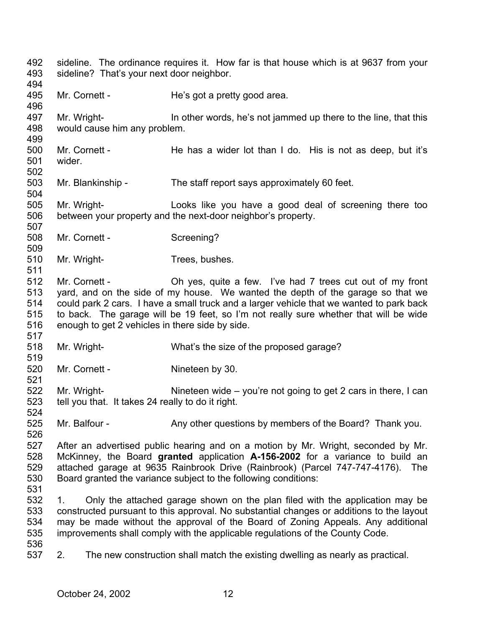493 494 495 496 497 498 499 500 501 502 503 504 505 506 507 508 509 510 511 512 513 514 515 516 517 518 519 520 521 522 523 524 525 526 527 528 529 530 531 532 533 534 535 536 537 sideline? That's your next door neighbor. Mr. Cornett - He's got a pretty good area. Mr. Wright- In other words, he's not jammed up there to the line, that this would cause him any problem. Mr. Cornett - He has a wider lot than I do. His is not as deep, but it's wider. Mr. Blankinship - The staff report says approximately 60 feet. Mr. Wright- Looks like you have a good deal of screening there too between your property and the next-door neighbor's property. Mr. Cornett - Screening? Mr. Wright- Trees, bushes. Mr. Cornett - Consection Consection Consection Consection Consection Consection Consection Consection Consection Consection Consection Consection Consection Consection Consection Consection Consection Consection Consection yard, and on the side of my house. We wanted the depth of the garage so that we could park 2 cars. I have a small truck and a larger vehicle that we wanted to park back to back. The garage will be 19 feet, so I'm not really sure whether that will be wide enough to get 2 vehicles in there side by side. Mr. Wright- What's the size of the proposed garage? Mr. Cornett - Nineteen by 30. Mr. Wright- Nineteen wide – you're not going to get 2 cars in there, I can tell you that. It takes 24 really to do it right. Mr. Balfour - Any other questions by members of the Board? Thank you. After an advertised public hearing and on a motion by Mr. Wright, seconded by Mr. McKinney, the Board **granted** application **A-156-2002** for a variance to build an attached garage at 9635 Rainbrook Drive (Rainbrook) (Parcel 747-747-4176). The Board granted the variance subject to the following conditions: 1. Only the attached garage shown on the plan filed with the application may be constructed pursuant to this approval. No substantial changes or additions to the layout may be made without the approval of the Board of Zoning Appeals. Any additional improvements shall comply with the applicable regulations of the County Code. 2. The new construction shall match the existing dwelling as nearly as practical.

sideline. The ordinance requires it. How far is that house which is at 9637 from your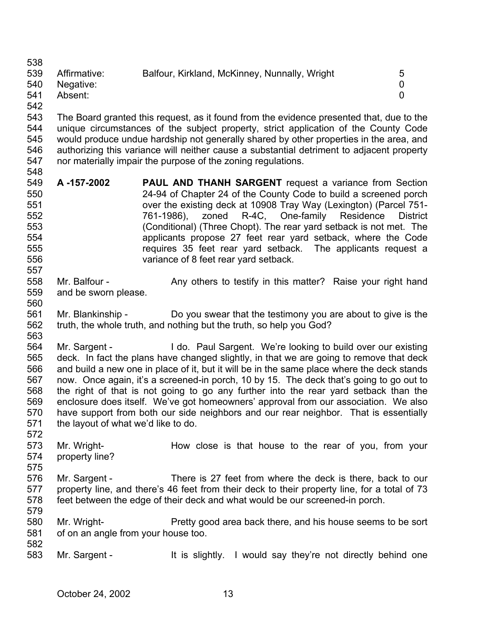538

- 539 540 541 Affirmative: Balfour, Kirkland, McKinney, Nunnally, Wright 5 Negative: 0 Absent: 0
- 542

543 544 545 546 547 548 The Board granted this request, as it found from the evidence presented that, due to the unique circumstances of the subject property, strict application of the County Code would produce undue hardship not generally shared by other properties in the area, and authorizing this variance will neither cause a substantial detriment to adjacent property nor materially impair the purpose of the zoning regulations.

- 549 550 551 552 553 554 555 556 557 **A -157-2002 PAUL AND THANH SARGENT** request a variance from Section 24-94 of Chapter 24 of the County Code to build a screened porch over the existing deck at 10908 Tray Way (Lexington) (Parcel 751- 761-1986), zoned R-4C, One-family Residence District (Conditional) (Three Chopt). The rear yard setback is not met. The applicants propose 27 feet rear yard setback, where the Code requires 35 feet rear yard setback. The applicants request a variance of 8 feet rear yard setback.
- 558 559 560 Mr. Balfour - Any others to testify in this matter? Raise your right hand and be sworn please.
- 561 562 563 Mr. Blankinship - Do you swear that the testimony you are about to give is the truth, the whole truth, and nothing but the truth, so help you God?
- 564 565 566 567 568 569 570 571 Mr. Sargent - I do. Paul Sargent. We're looking to build over our existing deck. In fact the plans have changed slightly, in that we are going to remove that deck and build a new one in place of it, but it will be in the same place where the deck stands now. Once again, it's a screened-in porch, 10 by 15. The deck that's going to go out to the right of that is not going to go any further into the rear yard setback than the enclosure does itself. We've got homeowners' approval from our association. We also have support from both our side neighbors and our rear neighbor. That is essentially the layout of what we'd like to do.
- 572 573 574 Mr. Wright- How close is that house to the rear of you, from your property line?
- 575 576 577 578 579 Mr. Sargent - There is 27 feet from where the deck is there, back to our property line, and there's 46 feet from their deck to their property line, for a total of 73 feet between the edge of their deck and what would be our screened-in porch.
- 580 581 582 Mr. Wright- **Pretty good area back there, and his house seems to be sort** of on an angle from your house too.
- 583 Mr. Sargent - It is slightly. I would say they're not directly behind one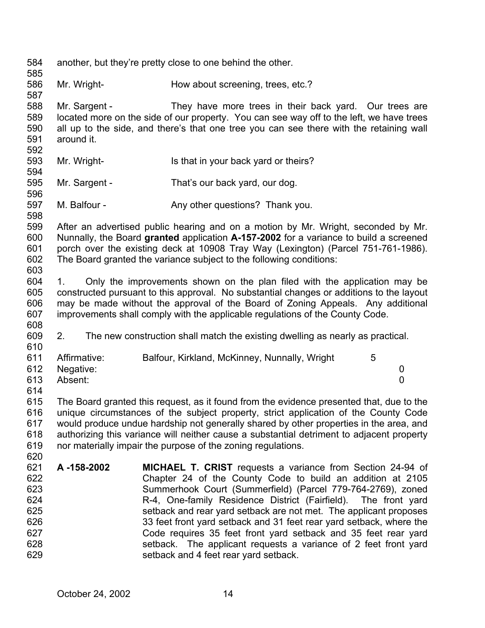- 584 another, but they're pretty close to one behind the other.
- 586 Mr. Wright- **How about screening, trees, etc.**?

588 589 590 591 Mr. Sargent - They have more trees in their back vard. Our trees are located more on the side of our property. You can see way off to the left, we have trees all up to the side, and there's that one tree you can see there with the retaining wall around it.

- 593 Mr. Wright- Is that in your back yard or theirs?
- 595 Mr. Sargent - That's our back yard, our dog.
- 597 M. Balfour - Any other questions? Thank you.
- 599 600 601 602 603 After an advertised public hearing and on a motion by Mr. Wright, seconded by Mr. Nunnally, the Board **granted** application **A-157-2002** for a variance to build a screened porch over the existing deck at 10908 Tray Way (Lexington) (Parcel 751-761-1986). The Board granted the variance subject to the following conditions:
- 604 605 606 607 608 1. Only the improvements shown on the plan filed with the application may be constructed pursuant to this approval. No substantial changes or additions to the layout may be made without the approval of the Board of Zoning Appeals. Any additional improvements shall comply with the applicable regulations of the County Code.
- 609 2. The new construction shall match the existing dwelling as nearly as practical.
- 611 612 613 Affirmative: Balfour, Kirkland, McKinney, Nunnally, Wright 5 Negative: 0 Absent: 0
- 614

610

585

587

592

594

596

598

615 616 617 618 619 620 The Board granted this request, as it found from the evidence presented that, due to the unique circumstances of the subject property, strict application of the County Code would produce undue hardship not generally shared by other properties in the area, and authorizing this variance will neither cause a substantial detriment to adjacent property nor materially impair the purpose of the zoning regulations.

621 622 623 624 625 626 627 628 629 **A -158-2002 MICHAEL T. CRIST** requests a variance from Section 24-94 of Chapter 24 of the County Code to build an addition at 2105 Summerhook Court (Summerfield) (Parcel 779-764-2769), zoned R-4, One-family Residence District (Fairfield). The front yard setback and rear yard setback are not met. The applicant proposes 33 feet front yard setback and 31 feet rear yard setback, where the Code requires 35 feet front yard setback and 35 feet rear yard setback. The applicant requests a variance of 2 feet front yard setback and 4 feet rear yard setback.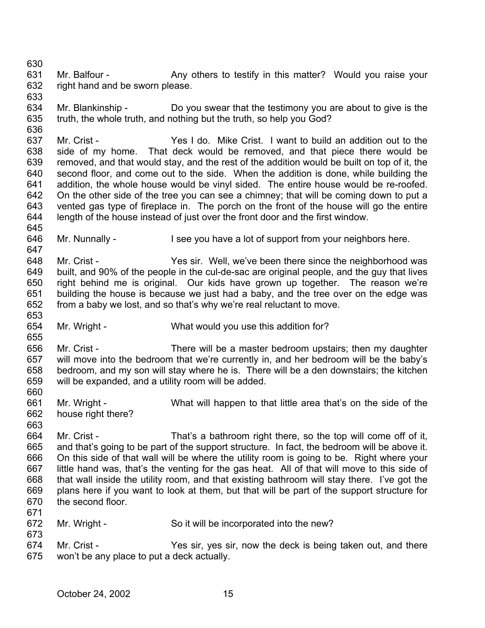631 632 633 Mr. Balfour - Any others to testify in this matter? Would you raise your right hand and be sworn please.

634 635 Mr. Blankinship - Do you swear that the testimony you are about to give is the truth, the whole truth, and nothing but the truth, so help you God?

637 638 639 640 641 642 643 644 Mr. Crist - Yes I do. Mike Crist. I want to build an addition out to the side of my home. That deck would be removed, and that piece there would be removed, and that would stay, and the rest of the addition would be built on top of it, the second floor, and come out to the side. When the addition is done, while building the addition, the whole house would be vinyl sided. The entire house would be re-roofed. On the other side of the tree you can see a chimney; that will be coming down to put a vented gas type of fireplace in. The porch on the front of the house will go the entire length of the house instead of just over the front door and the first window.

646 Mr. Nunnally - I see you have a lot of support from your neighbors here.

648 649 650 651 652 Mr. Crist - Yes sir. Well, we've been there since the neighborhood was built, and 90% of the people in the cul-de-sac are original people, and the guy that lives right behind me is original. Our kids have grown up together. The reason we're building the house is because we just had a baby, and the tree over on the edge was from a baby we lost, and so that's why we're real reluctant to move.

654 Mr. Wright - What would you use this addition for?

656 657 658 659 Mr. Crist - There will be a master bedroom upstairs; then my daughter will move into the bedroom that we're currently in, and her bedroom will be the baby's bedroom, and my son will stay where he is. There will be a den downstairs; the kitchen will be expanded, and a utility room will be added.

- 661 662 Mr. Wright - What will happen to that little area that's on the side of the house right there?
- 664 665 666 667 668 669 670 671 Mr. Crist - That's a bathroom right there, so the top will come off of it, and that's going to be part of the support structure. In fact, the bedroom will be above it. On this side of that wall will be where the utility room is going to be. Right where your little hand was, that's the venting for the gas heat. All of that will move to this side of that wall inside the utility room, and that existing bathroom will stay there. I've got the plans here if you want to look at them, but that will be part of the support structure for the second floor.
- 672 Mr. Wright - So it will be incorporated into the new?
- 674 675 Mr. Crist - Yes sir, yes sir, now the deck is being taken out, and there won't be any place to put a deck actually.

630

636

645

647

653

655

660

663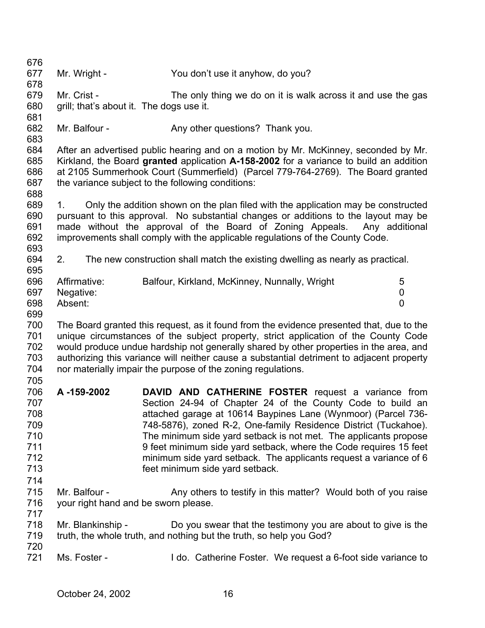| 676<br>677                                                                                                                               | Mr. Wright -                                          | You don't use it anyhow, do you?                                                                                                                                                                                                                                                                                                                                                                                                                                                                      |                          |
|------------------------------------------------------------------------------------------------------------------------------------------|-------------------------------------------------------|-------------------------------------------------------------------------------------------------------------------------------------------------------------------------------------------------------------------------------------------------------------------------------------------------------------------------------------------------------------------------------------------------------------------------------------------------------------------------------------------------------|--------------------------|
| 678<br>679                                                                                                                               | Mr. Crist -                                           | The only thing we do on it is walk across it and use the gas                                                                                                                                                                                                                                                                                                                                                                                                                                          |                          |
| 680<br>681                                                                                                                               | grill; that's about it. The dogs use it.              |                                                                                                                                                                                                                                                                                                                                                                                                                                                                                                       |                          |
| 682<br>683                                                                                                                               | Mr. Balfour -                                         | Any other questions? Thank you.                                                                                                                                                                                                                                                                                                                                                                                                                                                                       |                          |
| 684<br>685<br>686<br>687<br>688                                                                                                          |                                                       | After an advertised public hearing and on a motion by Mr. McKinney, seconded by Mr.<br>Kirkland, the Board granted application A-158-2002 for a variance to build an addition<br>at 2105 Summerhook Court (Summerfield) (Parcel 779-764-2769). The Board granted<br>the variance subject to the following conditions:                                                                                                                                                                                 |                          |
| 689<br>690<br>691<br>692<br>693                                                                                                          | 1.                                                    | Only the addition shown on the plan filed with the application may be constructed<br>pursuant to this approval. No substantial changes or additions to the layout may be<br>made without the approval of the Board of Zoning Appeals. Any additional<br>improvements shall comply with the applicable regulations of the County Code.                                                                                                                                                                 |                          |
| 694<br>695                                                                                                                               | 2.                                                    | The new construction shall match the existing dwelling as nearly as practical.                                                                                                                                                                                                                                                                                                                                                                                                                        |                          |
| 696<br>697<br>698<br>699                                                                                                                 | Affirmative:<br>Negative:<br>Absent:                  | Balfour, Kirkland, McKinney, Nunnally, Wright                                                                                                                                                                                                                                                                                                                                                                                                                                                         | 5<br>0<br>$\overline{0}$ |
| 700<br>701<br>702<br>703<br>704<br>705<br>706<br>707<br>708<br>709<br>710<br>711<br>712<br>713<br>714<br>715<br>716<br>717<br>718<br>719 |                                                       | The Board granted this request, as it found from the evidence presented that, due to the<br>unique circumstances of the subject property, strict application of the County Code<br>would produce undue hardship not generally shared by other properties in the area, and<br>authorizing this variance will neither cause a substantial detriment to adjacent property<br>nor materially impair the purpose of the zoning regulations.                                                                |                          |
|                                                                                                                                          | A-159-2002                                            | DAVID AND CATHERINE FOSTER request a variance from<br>Section 24-94 of Chapter 24 of the County Code to build an<br>attached garage at 10614 Baypines Lane (Wynmoor) (Parcel 736-<br>748-5876), zoned R-2, One-family Residence District (Tuckahoe).<br>The minimum side yard setback is not met. The applicants propose<br>9 feet minimum side yard setback, where the Code requires 15 feet<br>minimum side yard setback. The applicants request a variance of 6<br>feet minimum side yard setback. |                          |
|                                                                                                                                          | Mr. Balfour -<br>your right hand and be sworn please. | Any others to testify in this matter? Would both of you raise                                                                                                                                                                                                                                                                                                                                                                                                                                         |                          |
|                                                                                                                                          | Mr. Blankinship -                                     | Do you swear that the testimony you are about to give is the<br>truth, the whole truth, and nothing but the truth, so help you God?                                                                                                                                                                                                                                                                                                                                                                   |                          |
| 720<br>721                                                                                                                               | Ms. Foster -                                          | I do. Catherine Foster. We request a 6-foot side variance to                                                                                                                                                                                                                                                                                                                                                                                                                                          |                          |
|                                                                                                                                          |                                                       |                                                                                                                                                                                                                                                                                                                                                                                                                                                                                                       |                          |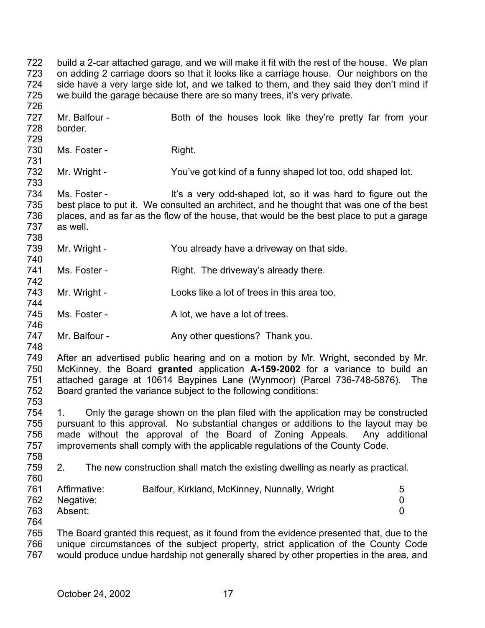722 723 724 725 726 build a 2-car attached garage, and we will make it fit with the rest of the house. We plan on adding 2 carriage doors so that it looks like a carriage house. Our neighbors on the side have a very large side lot, and we talked to them, and they said they don't mind if we build the garage because there are so many trees, it's very private.

727 728 729 Mr. Balfour - Both of the houses look like they're pretty far from your border.

730 731 Ms. Foster - Right.

742

744

746

748

732 733 Mr. Wright - You've got kind of a funny shaped lot too, odd shaped lot.

734 735 736 737 738 Ms. Foster - It's a very odd-shaped lot, so it was hard to figure out the best place to put it. We consulted an architect, and he thought that was one of the best places, and as far as the flow of the house, that would be the best place to put a garage as well.

- 739 740 Mr. Wright - You already have a driveway on that side.
- 741 Ms. Foster - Right. The driveway's already there.
- 743 Mr. Wright - Looks like a lot of trees in this area too.
- 745 Ms. Foster - A lot, we have a lot of trees.
- 747 Mr. Balfour - Any other questions? Thank you.

749 750 751 752 753 After an advertised public hearing and on a motion by Mr. Wright, seconded by Mr. McKinney, the Board **granted** application **A-159-2002** for a variance to build an attached garage at 10614 Baypines Lane (Wynmoor) (Parcel 736-748-5876). The Board granted the variance subject to the following conditions:

- 754 755 756 757 758 1. Only the garage shown on the plan filed with the application may be constructed pursuant to this approval. No substantial changes or additions to the layout may be made without the approval of the Board of Zoning Appeals. Any additional improvements shall comply with the applicable regulations of the County Code.
- 759 2. The new construction shall match the existing dwelling as nearly as practical.
- 760 761 762 763 764 Affirmative: Balfour, Kirkland, McKinney, Nunnally, Wright 5 Negative: 0 Absent: 0
- 765 766 767 The Board granted this request, as it found from the evidence presented that, due to the unique circumstances of the subject property, strict application of the County Code would produce undue hardship not generally shared by other properties in the area, and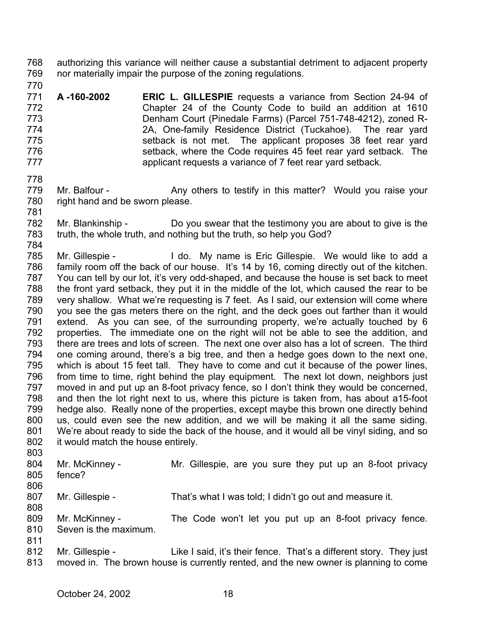- 768 769 authorizing this variance will neither cause a substantial detriment to adjacent property nor materially impair the purpose of the zoning regulations.
- 770
- 771 772 773 774 775 776 777 **A -160-2002 ERIC L. GILLESPIE** requests a variance from Section 24-94 of Chapter 24 of the County Code to build an addition at 1610 Denham Court (Pinedale Farms) (Parcel 751-748-4212), zoned R-2A, One-family Residence District (Tuckahoe). The rear yard setback is not met. The applicant proposes 38 feet rear yard setback, where the Code requires 45 feet rear yard setback. The applicant requests a variance of 7 feet rear yard setback.
- 778
- 779 780 781 Mr. Balfour - Any others to testify in this matter? Would you raise your right hand and be sworn please.
- 782 783 Mr. Blankinship - Do you swear that the testimony you are about to give is the truth, the whole truth, and nothing but the truth, so help you God?
- 784 785 786 787 788 789 790 791 792 793 794 795 796 797 798 799 800 801 802 Mr. Gillespie - The My name is Eric Gillespie. We would like to add a family room off the back of our house. It's 14 by 16, coming directly out of the kitchen. You can tell by our lot, it's very odd-shaped, and because the house is set back to meet the front yard setback, they put it in the middle of the lot, which caused the rear to be very shallow. What we're requesting is 7 feet. As I said, our extension will come where you see the gas meters there on the right, and the deck goes out farther than it would extend. As you can see, of the surrounding property, we're actually touched by 6 properties. The immediate one on the right will not be able to see the addition, and there are trees and lots of screen. The next one over also has a lot of screen. The third one coming around, there's a big tree, and then a hedge goes down to the next one, which is about 15 feet tall. They have to come and cut it because of the power lines, from time to time, right behind the play equipment. The next lot down, neighbors just moved in and put up an 8-foot privacy fence, so I don't think they would be concerned, and then the lot right next to us, where this picture is taken from, has about a15-foot hedge also. Really none of the properties, except maybe this brown one directly behind us, could even see the new addition, and we will be making it all the same siding. We're about ready to side the back of the house, and it would all be vinyl siding, and so it would match the house entirely.
- 803 804 805 806 807 808 Mr. McKinney - The Mr. Gillespie, are you sure they put up an 8-foot privacy fence? Mr. Gillespie - That's what I was told; I didn't go out and measure it.
- 809 810 Mr. McKinney - The Code won't let you put up an 8-foot privacy fence. Seven is the maximum.
- 811
- 812 813 Mr. Gillespie - Like I said, it's their fence. That's a different story. They just moved in. The brown house is currently rented, and the new owner is planning to come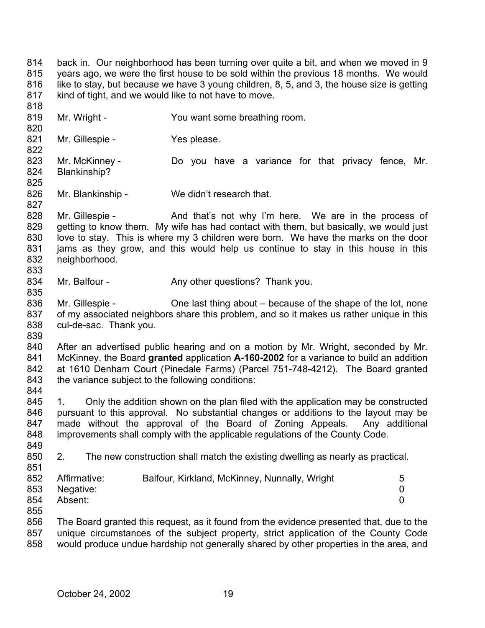814 815 816 817 818 back in. Our neighborhood has been turning over quite a bit, and when we moved in 9 years ago, we were the first house to be sold within the previous 18 months. We would like to stay, but because we have 3 young children, 8, 5, and 3, the house size is getting kind of tight, and we would like to not have to move.

819 Mr. Wright - You want some breathing room.

821 Mr. Gillespie - Yes please.

822 823 824 825 Mr. McKinney - The Do you have a variance for that privacy fence, Mr. Blankinship?

826 Mr. Blankinship - We didn't research that.

827 828 829 830 831 832 833 Mr. Gillespie - And that's not why I'm here. We are in the process of getting to know them. My wife has had contact with them, but basically, we would just love to stay. This is where my 3 children were born. We have the marks on the door jams as they grow, and this would help us continue to stay in this house in this neighborhood.

834 Mr. Balfour - Any other questions? Thank you.

836 837 838 Mr. Gillespie - One last thing about – because of the shape of the lot, none of my associated neighbors share this problem, and so it makes us rather unique in this cul-de-sac. Thank you.

839

844

851

835

820

840 841 842 843 After an advertised public hearing and on a motion by Mr. Wright, seconded by Mr. McKinney, the Board **granted** application **A-160-2002** for a variance to build an addition at 1610 Denham Court (Pinedale Farms) (Parcel 751-748-4212). The Board granted the variance subject to the following conditions:

845 846 847 848 849 1. Only the addition shown on the plan filed with the application may be constructed pursuant to this approval. No substantial changes or additions to the layout may be made without the approval of the Board of Zoning Appeals. Any additional improvements shall comply with the applicable regulations of the County Code.

850 2. The new construction shall match the existing dwelling as nearly as practical.

| 852 | Affirmative:  | Balfour, Kirkland, McKinney, Nunnally, Wright |  |
|-----|---------------|-----------------------------------------------|--|
|     | 853 Negative: |                                               |  |
| 854 | Absent:       |                                               |  |

855

856 857 858 The Board granted this request, as it found from the evidence presented that, due to the unique circumstances of the subject property, strict application of the County Code would produce undue hardship not generally shared by other properties in the area, and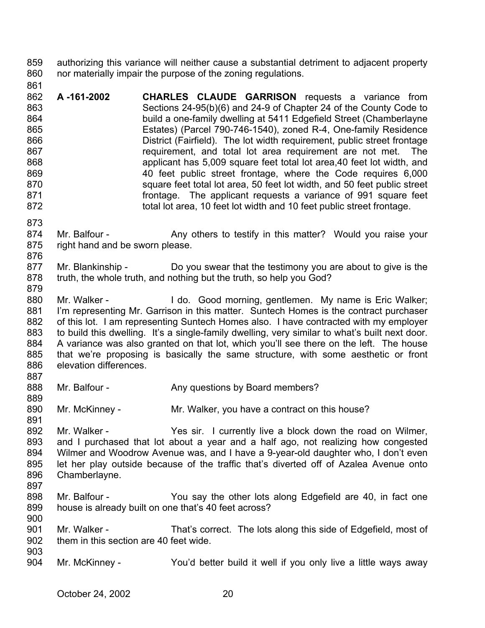859 860 authorizing this variance will neither cause a substantial detriment to adjacent property nor materially impair the purpose of the zoning regulations.

- 862 863 864 865 866 867 868 869 870 871 872 **A -161-2002 CHARLES CLAUDE GARRISON** requests a variance from Sections 24-95(b)(6) and 24-9 of Chapter 24 of the County Code to build a one-family dwelling at 5411 Edgefield Street (Chamberlayne Estates) (Parcel 790-746-1540), zoned R-4, One-family Residence District (Fairfield). The lot width requirement, public street frontage requirement, and total lot area requirement are not met. The applicant has 5,009 square feet total lot area,40 feet lot width, and 40 feet public street frontage, where the Code requires 6,000 square feet total lot area, 50 feet lot width, and 50 feet public street frontage. The applicant requests a variance of 991 square feet total lot area, 10 feet lot width and 10 feet public street frontage.
- 873 874 875 Mr. Balfour - Any others to testify in this matter? Would you raise your right hand and be sworn please.
- 877 878 879 Mr. Blankinship - Do you swear that the testimony you are about to give is the truth, the whole truth, and nothing but the truth, so help you God?
- 880 881 882 883 884 885 886 887 Mr. Walker - The Music Cood morning, gentlemen. My name is Eric Walker; I'm representing Mr. Garrison in this matter. Suntech Homes is the contract purchaser of this lot. I am representing Suntech Homes also. I have contracted with my employer to build this dwelling. It's a single-family dwelling, very similar to what's built next door. A variance was also granted on that lot, which you'll see there on the left. The house that we're proposing is basically the same structure, with some aesthetic or front elevation differences.
- 888 Mr. Balfour - Any questions by Board members?
- 890 Mr. McKinney - The Mr. Walker, you have a contract on this house?
- 892 893 894 895 896 897 Mr. Walker - The Yes sir. I currently live a block down the road on Wilmer, and I purchased that lot about a year and a half ago, not realizing how congested Wilmer and Woodrow Avenue was, and I have a 9-year-old daughter who, I don't even let her play outside because of the traffic that's diverted off of Azalea Avenue onto Chamberlayne.
- 898 899 Mr. Balfour - The You say the other lots along Edgefield are 40, in fact one house is already built on one that's 40 feet across?
- 901 902 Mr. Walker - That's correct. The lots along this side of Edgefield, most of them in this section are 40 feet wide.
- 904 Mr. McKinney - You'd better build it well if you only live a little ways away

861

876

889

891

900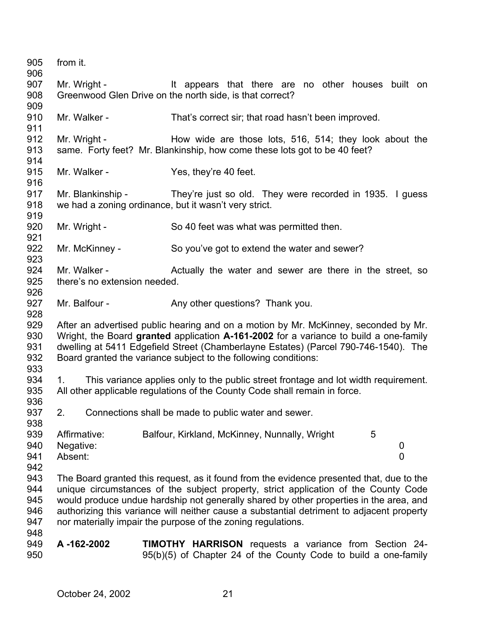| 905<br>906 | from it.                     |                                                                                                                                     |
|------------|------------------------------|-------------------------------------------------------------------------------------------------------------------------------------|
| 907        |                              | Mr. Wright - The Music of the Music state there are no other houses built on                                                        |
| 908        |                              | Greenwood Glen Drive on the north side, is that correct?                                                                            |
| 909        |                              |                                                                                                                                     |
| 910        | Mr. Walker -                 | That's correct sir; that road hasn't been improved.                                                                                 |
| 911        |                              |                                                                                                                                     |
| 912        | Mr. Wright -                 |                                                                                                                                     |
| 913        |                              | How wide are those lots, 516, 514; they look about the<br>same. Forty feet? Mr. Blankinship, how come these lots got to be 40 feet? |
| 914        |                              |                                                                                                                                     |
| 915        | Mr. Walker -                 |                                                                                                                                     |
|            |                              | Yes, they're 40 feet.                                                                                                               |
| 916        |                              |                                                                                                                                     |
| 917        |                              | Mr. Blankinship - They're just so old. They were recorded in 1935. I guess                                                          |
| 918        |                              | we had a zoning ordinance, but it wasn't very strict.                                                                               |
| 919        |                              |                                                                                                                                     |
| 920        | Mr. Wright -                 | So 40 feet was what was permitted then.                                                                                             |
| 921        |                              |                                                                                                                                     |
| 922        | Mr. McKinney -               | So you've got to extend the water and sewer?                                                                                        |
| 923        |                              |                                                                                                                                     |
| 924        | Mr. Walker -                 | Actually the water and sewer are there in the street, so                                                                            |
| 925        | there's no extension needed. |                                                                                                                                     |
| 926        |                              |                                                                                                                                     |
| 927        | Mr. Balfour -                | Any other questions? Thank you.                                                                                                     |
| 928        |                              |                                                                                                                                     |
| 929        |                              | After an advertised public hearing and on a motion by Mr. McKinney, seconded by Mr.                                                 |
| 930        |                              | Wright, the Board granted application A-161-2002 for a variance to build a one-family                                               |
| 931        |                              | dwelling at 5411 Edgefield Street (Chamberlayne Estates) (Parcel 790-746-1540). The                                                 |
| 932        |                              | Board granted the variance subject to the following conditions:                                                                     |
| 933        |                              |                                                                                                                                     |
| 934        | 1.                           | This variance applies only to the public street frontage and lot width requirement.                                                 |
| 935        |                              | All other applicable regulations of the County Code shall remain in force.                                                          |
| 936        |                              |                                                                                                                                     |
| 937        | 2.                           | Connections shall be made to public water and sewer.                                                                                |
| 938        |                              |                                                                                                                                     |
| 939        | Affirmative:                 | Balfour, Kirkland, McKinney, Nunnally, Wright<br>5                                                                                  |
| 940        | Negative:                    | 0                                                                                                                                   |
| 941        | Absent:                      | $\overline{0}$                                                                                                                      |
| 942        |                              |                                                                                                                                     |
| 943        |                              | The Board granted this request, as it found from the evidence presented that, due to the                                            |
| 944        |                              | unique circumstances of the subject property, strict application of the County Code                                                 |
| 945        |                              | would produce undue hardship not generally shared by other properties in the area, and                                              |
| 946        |                              | authorizing this variance will neither cause a substantial detriment to adjacent property                                           |
| 947        |                              | nor materially impair the purpose of the zoning regulations.                                                                        |
| 948<br>949 |                              |                                                                                                                                     |
|            | A-162-2002                   | <b>TIMOTHY HARRISON</b> requests a variance from Section 24-                                                                        |
| 950        |                              | 95(b)(5) of Chapter 24 of the County Code to build a one-family                                                                     |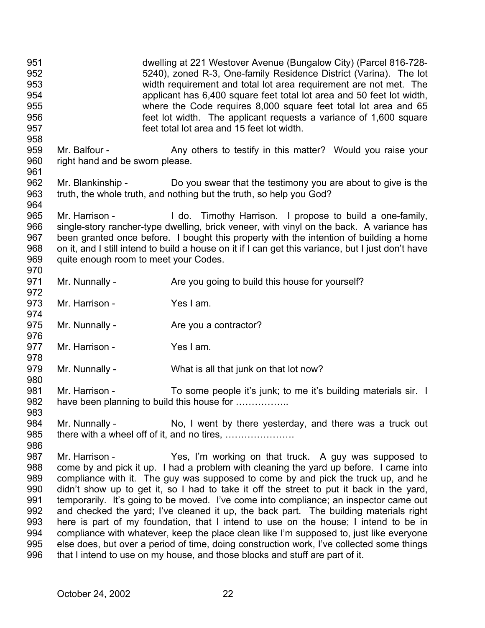951 952 953 954 955 956 957 958 959 960 961 962 963 964 965 966 967 968 969 970 971 972 973 974 975 976 977 978 979 980 981 982 983 984 985 986 987 988 989 990 991 992 993 994 995 996 dwelling at 221 Westover Avenue (Bungalow City) (Parcel 816-728- 5240), zoned R-3, One-family Residence District (Varina). The lot width requirement and total lot area requirement are not met. The applicant has 6,400 square feet total lot area and 50 feet lot width, where the Code requires 8,000 square feet total lot area and 65 feet lot width. The applicant requests a variance of 1,600 square feet total lot area and 15 feet lot width. Mr. Balfour - Any others to testify in this matter? Would you raise your right hand and be sworn please. Mr. Blankinship - Do you swear that the testimony you are about to give is the truth, the whole truth, and nothing but the truth, so help you God? Mr. Harrison - I do. Timothy Harrison. I propose to build a one-family, single-story rancher-type dwelling, brick veneer, with vinyl on the back. A variance has been granted once before. I bought this property with the intention of building a home on it, and I still intend to build a house on it if I can get this variance, but I just don't have quite enough room to meet your Codes. Mr. Nunnally - Are you going to build this house for yourself? Mr. Harrison - Yes I am. Mr. Nunnally - **Are you a contractor?** Mr. Harrison - Yes I am. Mr. Nunnally - What is all that junk on that lot now? Mr. Harrison - To some people it's junk; to me it's building materials sir. I have been planning to build this house for ................. Mr. Nunnally - No, I went by there yesterday, and there was a truck out there with a wheel off of it, and no tires, …………………. Mr. Harrison - The Yes, I'm working on that truck. A guy was supposed to come by and pick it up. I had a problem with cleaning the yard up before. I came into compliance with it. The guy was supposed to come by and pick the truck up, and he didn't show up to get it, so I had to take it off the street to put it back in the yard, temporarily. It's going to be moved. I've come into compliance; an inspector came out and checked the yard; I've cleaned it up, the back part. The building materials right here is part of my foundation, that I intend to use on the house; I intend to be in compliance with whatever, keep the place clean like I'm supposed to, just like everyone else does, but over a period of time, doing construction work, I've collected some things that I intend to use on my house, and those blocks and stuff are part of it.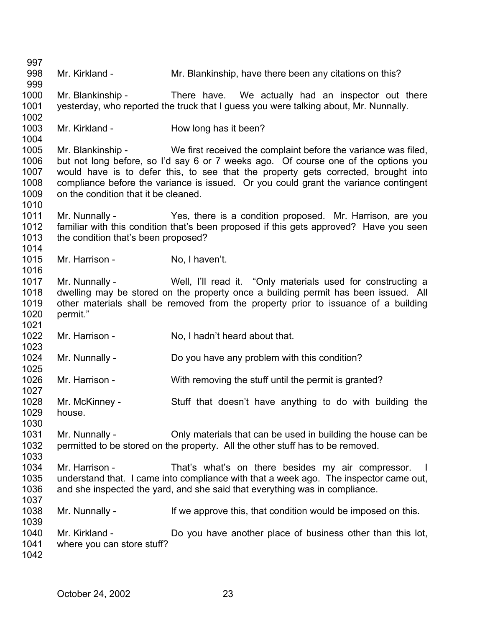997 998 999 1000 1001 1002 1003 1004 1005 1006 1007 1008 1009 1010 1011 1012 1013 1014 1015 1016 1017 1018 1019 1020 1021 1022 1023 1024 1025 1026 1027 1028 1029 1030 1031 1032 1033 1034 1035 1036 1037 1038 1039 1040 1041 1042 Mr. Kirkland - Mr. Blankinship, have there been any citations on this? Mr. Blankinship - There have. We actually had an inspector out there yesterday, who reported the truck that I guess you were talking about, Mr. Nunnally. Mr. Kirkland - How long has it been? Mr. Blankinship - We first received the complaint before the variance was filed, but not long before, so I'd say 6 or 7 weeks ago. Of course one of the options you would have is to defer this, to see that the property gets corrected, brought into compliance before the variance is issued. Or you could grant the variance contingent on the condition that it be cleaned. Mr. Nunnally - Yes, there is a condition proposed. Mr. Harrison, are you familiar with this condition that's been proposed if this gets approved? Have you seen the condition that's been proposed? Mr. Harrison - No. I haven't. Mr. Nunnally - Well, I'll read it. "Only materials used for constructing a dwelling may be stored on the property once a building permit has been issued. All other materials shall be removed from the property prior to issuance of a building permit." Mr. Harrison - No. I hadn't heard about that. Mr. Nunnally - Do you have any problem with this condition? Mr. Harrison - With removing the stuff until the permit is granted? Mr. McKinney - Stuff that doesn't have anything to do with building the house. Mr. Nunnally - Only materials that can be used in building the house can be permitted to be stored on the property. All the other stuff has to be removed. Mr. Harrison - That's what's on there besides my air compressor. I understand that. I came into compliance with that a week ago. The inspector came out, and she inspected the yard, and she said that everything was in compliance. Mr. Nunnally - The If we approve this, that condition would be imposed on this. Mr. Kirkland - Do you have another place of business other than this lot, where you can store stuff?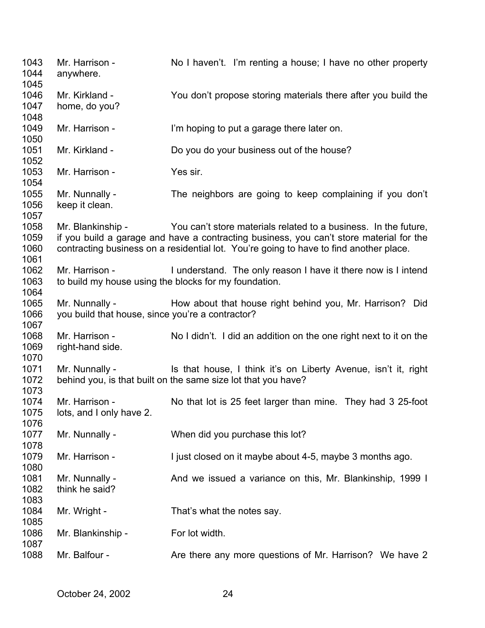Mr. Harrison - No I haven't. I'm renting a house; I have no other property anywhere. Mr. Kirkland - You don't propose storing materials there after you build the home, do you? Mr. Harrison - I'm hoping to put a garage there later on. Mr. Kirkland - Do you do your business out of the house? Mr. Harrison - Yes sir. Mr. Nunnally - The neighbors are going to keep complaining if you don't keep it clean. Mr. Blankinship - You can't store materials related to a business. In the future, if you build a garage and have a contracting business, you can't store material for the contracting business on a residential lot. You're going to have to find another place. Mr. Harrison - I understand. The only reason I have it there now is I intend to build my house using the blocks for my foundation. Mr. Nunnally - The How about that house right behind you, Mr. Harrison? Did you build that house, since you're a contractor? Mr. Harrison - No I didn't. I did an addition on the one right next to it on the right-hand side. Mr. Nunnally - Is that house, I think it's on Liberty Avenue, isn't it, right behind you, is that built on the same size lot that you have? Mr. Harrison - No that lot is 25 feet larger than mine. They had 3 25-foot lots, and I only have 2. Mr. Nunnally - When did you purchase this lot? Mr. Harrison - I just closed on it maybe about 4-5, maybe 3 months ago. Mr. Nunnally - And we issued a variance on this, Mr. Blankinship, 1999 I think he said? Mr. Wright - That's what the notes say. Mr. Blankinship - For lot width. Mr. Balfour - The Are there any more questions of Mr. Harrison? We have 2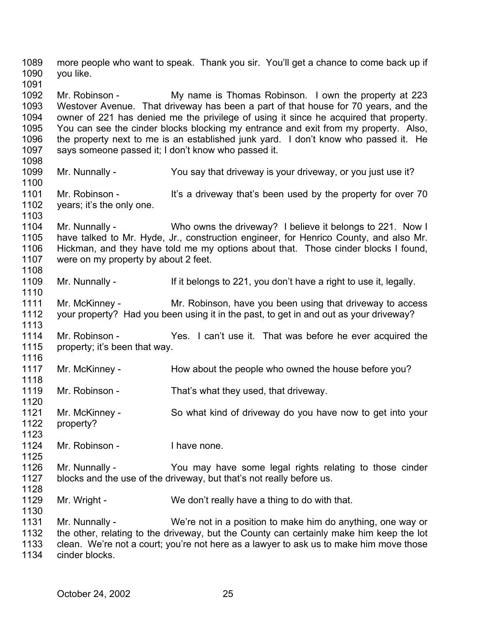1089 1090 more people who want to speak. Thank you sir. You'll get a chance to come back up if you like.

1091 1092 1093 1094 1095 1096 1097 Mr. Robinson - My name is Thomas Robinson. I own the property at 223 Westover Avenue. That driveway has been a part of that house for 70 years, and the owner of 221 has denied me the privilege of using it since he acquired that property. You can see the cinder blocks blocking my entrance and exit from my property. Also, the property next to me is an established junk yard. I don't know who passed it. He says someone passed it; I don't know who passed it.

- 1099 Mr. Nunnally - You say that driveway is your driveway, or you just use it?
- 1101 1102 1103 Mr. Robinson - It's a driveway that's been used by the property for over 70 years; it's the only one.

1104 1105 1106 1107 1108 Mr. Nunnally - Who owns the driveway? I believe it belongs to 221. Now I have talked to Mr. Hyde, Jr., construction engineer, for Henrico County, and also Mr. Hickman, and they have told me my options about that. Those cinder blocks I found, were on my property by about 2 feet.

- 1109 Mr. Nunnally - If it belongs to 221, you don't have a right to use it, legally.
- 1111 1112 1113 Mr. McKinney - Mr. Robinson, have you been using that driveway to access your property? Had you been using it in the past, to get in and out as your driveway?
- 1114 1115 1116 Mr. Robinson - Yes. I can't use it. That was before he ever acquired the property; it's been that way.
- 1117 1118 Mr. McKinney - How about the people who owned the house before you?

1119 1120 Mr. Robinson - That's what they used, that driveway.

1121 1122 Mr. McKinney - So what kind of driveway do you have now to get into your property?

1124 Mr. Robinson - I have none.

1098

1100

1110

1123

- 1126 1127 1128 Mr. Nunnally - You may have some legal rights relating to those cinder blocks and the use of the driveway, but that's not really before us.
- 1129 Mr. Wright - We don't really have a thing to do with that.
- 1130 1131 1132 Mr. Nunnally - We're not in a position to make him do anything, one way or the other, relating to the driveway, but the County can certainly make him keep the lot
- 1133 1134 clean. We're not a court; you're not here as a lawyer to ask us to make him move those cinder blocks.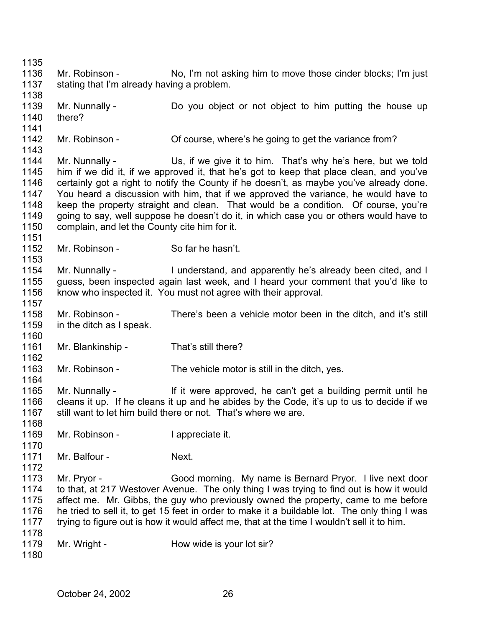1135 1136 1137 1138 1139 1140 1141 1142 1143 1144 1145 1146 1147 1148 1149 1150 1151 1152 1153 1154 1155 1156 1157 1158 1159 1160 1161 1162 1163 1164 1165 1166 1167 1168 1169 1170 1171 1172 1173 1174 1175 1176 1177 1178 1179 1180 Mr. Robinson - No, I'm not asking him to move those cinder blocks; I'm just stating that I'm already having a problem. Mr. Nunnally - Do you object or not object to him putting the house up there? Mr. Robinson - Chronics Course, where's he going to get the variance from? Mr. Nunnally - Us, if we give it to him. That's why he's here, but we told him if we did it, if we approved it, that he's got to keep that place clean, and you've certainly got a right to notify the County if he doesn't, as maybe you've already done. You heard a discussion with him, that if we approved the variance, he would have to keep the property straight and clean. That would be a condition. Of course, you're going to say, well suppose he doesn't do it, in which case you or others would have to complain, and let the County cite him for it. Mr. Robinson - So far he hasn't. Mr. Nunnally - I understand, and apparently he's already been cited, and I guess, been inspected again last week, and I heard your comment that you'd like to know who inspected it. You must not agree with their approval. Mr. Robinson - There's been a vehicle motor been in the ditch, and it's still in the ditch as I speak. Mr. Blankinship - That's still there? Mr. Robinson - The vehicle motor is still in the ditch, yes. Mr. Nunnally - If it were approved, he can't get a building permit until he cleans it up. If he cleans it up and he abides by the Code, it's up to us to decide if we still want to let him build there or not. That's where we are. Mr. Robinson - I appreciate it. Mr. Balfour - Next. Mr. Pryor - Good morning. My name is Bernard Pryor. I live next door to that, at 217 Westover Avenue. The only thing I was trying to find out is how it would affect me. Mr. Gibbs, the guy who previously owned the property, came to me before he tried to sell it, to get 15 feet in order to make it a buildable lot. The only thing I was trying to figure out is how it would affect me, that at the time I wouldn't sell it to him. Mr. Wright - How wide is your lot sir?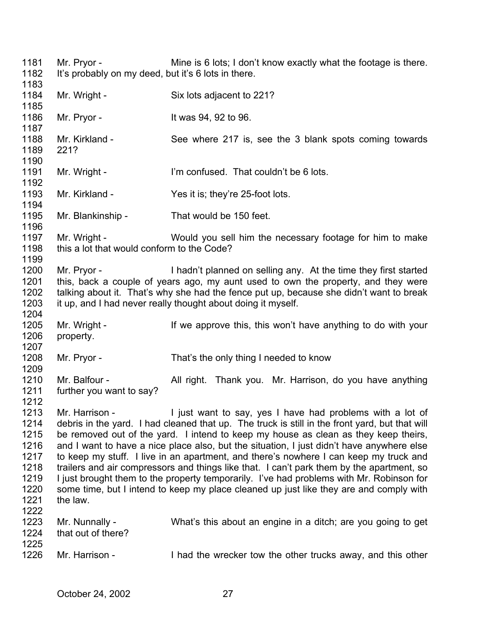1181 1182 1183 1184 1185 1186 1187 1188 1189 1190 1191 1192 1193 1194 1195 1196 1197 1198 1199 1200 1201 1202 1203 1204 1205 1206 1207 1208 1209 1210 1211 1212 1213 1214 1215 1216 1217 1218 1219 1220 1221 1222 1223 1224 1225 1226 Mr. Pryor - Mine is 6 lots; I don't know exactly what the footage is there. It's probably on my deed, but it's 6 lots in there. Mr. Wright - Six lots adjacent to 221? Mr. Pryor - It was 94, 92 to 96. Mr. Kirkland - See where 217 is, see the 3 blank spots coming towards 221? Mr. Wright - I'm confused. That couldn't be 6 lots. Mr. Kirkland - Yes it is; they're 25-foot lots. Mr. Blankinship - That would be 150 feet. Mr. Wright - Would you sell him the necessary footage for him to make this a lot that would conform to the Code? Mr. Pryor - I hadn't planned on selling any. At the time they first started this, back a couple of years ago, my aunt used to own the property, and they were talking about it. That's why she had the fence put up, because she didn't want to break it up, and I had never really thought about doing it myself. Mr. Wright - If we approve this, this won't have anything to do with your property. Mr. Pryor - That's the only thing I needed to know Mr. Balfour - All right. Thank you. Mr. Harrison, do you have anything further you want to say? Mr. Harrison - I just want to say, yes I have had problems with a lot of debris in the yard. I had cleaned that up. The truck is still in the front yard, but that will be removed out of the yard. I intend to keep my house as clean as they keep theirs, and I want to have a nice place also, but the situation, I just didn't have anywhere else to keep my stuff. I live in an apartment, and there's nowhere I can keep my truck and trailers and air compressors and things like that. I can't park them by the apartment, so I just brought them to the property temporarily. I've had problems with Mr. Robinson for some time, but I intend to keep my place cleaned up just like they are and comply with the law. Mr. Nunnally - What's this about an engine in a ditch; are you going to get that out of there? Mr. Harrison - I had the wrecker tow the other trucks away, and this other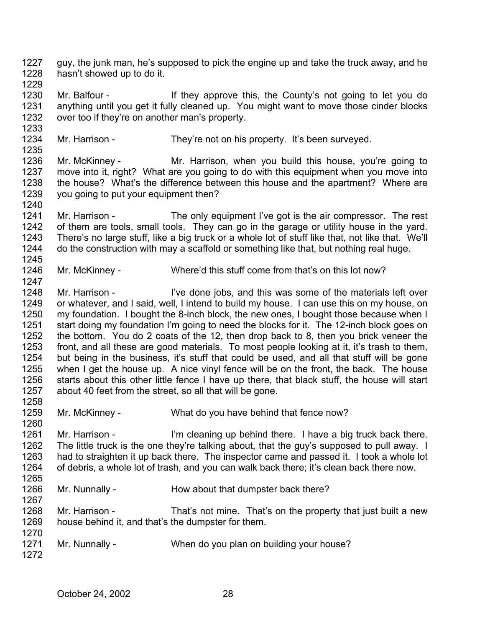- 1227 1228 guy, the junk man, he's supposed to pick the engine up and take the truck away, and he hasn't showed up to do it.
- 1230 1231 1232 Mr. Balfour - They approve this, the County's not going to let you do anything until you get it fully cleaned up. You might want to move those cinder blocks over too if they're on another man's property.
- 1234 Mr. Harrison - They're not on his property. It's been surveyed.
- 1236 1237 1238 1239 Mr. McKinney - The Mr. Harrison, when you build this house, you're going to move into it, right? What are you going to do with this equipment when you move into the house? What's the difference between this house and the apartment? Where are you going to put your equipment then?
- 1241 1242 1243 1244 1245 Mr. Harrison - The only equipment I've got is the air compressor. The rest of them are tools, small tools. They can go in the garage or utility house in the yard. There's no large stuff, like a big truck or a whole lot of stuff like that, not like that. We'll do the construction with may a scaffold or something like that, but nothing real huge.
- 1246 Mr. McKinney - Where'd this stuff come from that's on this lot now?
- 1248 1249 1250 1251 1252 1253 1254 1255 1256 1257 1258 Mr. Harrison - I've done jobs, and this was some of the materials left over or whatever, and I said, well, I intend to build my house. I can use this on my house, on my foundation. I bought the 8-inch block, the new ones, I bought those because when I start doing my foundation I'm going to need the blocks for it. The 12-inch block goes on the bottom. You do 2 coats of the 12, then drop back to 8, then you brick veneer the front, and all these are good materials. To most people looking at it, it's trash to them, but being in the business, it's stuff that could be used, and all that stuff will be gone when I get the house up. A nice vinyl fence will be on the front, the back. The house starts about this other little fence I have up there, that black stuff, the house will start about 40 feet from the street, so all that will be gone.
- 1259 Mr. McKinney - What do you have behind that fence now?
- 1261 1262 1263 1264 1265 Mr. Harrison - I'm cleaning up behind there. I have a big truck back there. The little truck is the one they're talking about, that the guy's supposed to pull away. I had to straighten it up back there. The inspector came and passed it. I took a whole lot of debris, a whole lot of trash, and you can walk back there; it's clean back there now.
- 1266 Mr. Nunnally - How about that dumpster back there?
- 1268 1269 1270 Mr. Harrison - That's not mine. That's on the property that just built a new house behind it, and that's the dumpster for them.
- 1271 Mr. Nunnally - When do you plan on building your house?
- 1272

1267

1260

1229

1233

1235

1240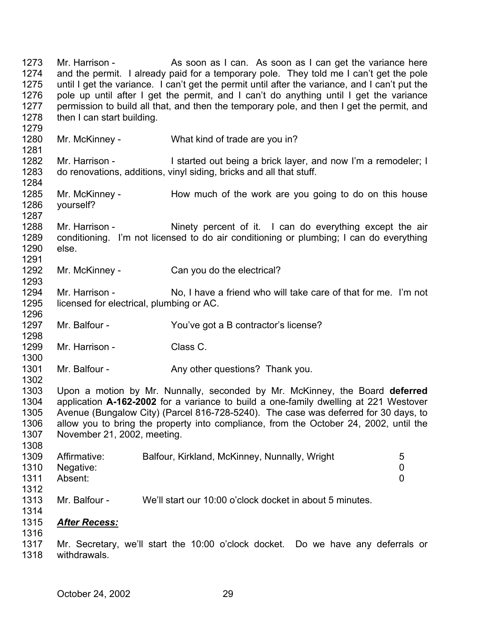1273 1274 1275 1276 1277 1278 1279 1280 1281 1282 1283 1284 1285 1286 1287 1288 1289 1290 1291 1292 1293 1294 1295 1296 1297 1298 1299 1300 1301 1302 1303 1304 1305 1306 1307 1308 1309 1310 1311 1312 1313 1314 Mr. Harrison - As soon as I can. As soon as I can get the variance here and the permit. I already paid for a temporary pole. They told me I can't get the pole until I get the variance. I can't get the permit until after the variance, and I can't put the pole up until after I get the permit, and I can't do anything until I get the variance permission to build all that, and then the temporary pole, and then I get the permit, and then I can start building. Mr. McKinney - What kind of trade are you in? Mr. Harrison - I started out being a brick layer, and now I'm a remodeler; I do renovations, additions, vinyl siding, bricks and all that stuff. Mr. McKinney - The How much of the work are you going to do on this house yourself? Mr. Harrison - Ninety percent of it. I can do everything except the air conditioning. I'm not licensed to do air conditioning or plumbing; I can do everything else. Mr. McKinney - Can you do the electrical? Mr. Harrison - No, I have a friend who will take care of that for me. I'm not licensed for electrical, plumbing or AC. Mr. Balfour - You've got a B contractor's license? Mr. Harrison - Class C. Mr. Balfour - Any other questions? Thank you. Upon a motion by Mr. Nunnally, seconded by Mr. McKinney, the Board **deferred** application **A-162-2002** for a variance to build a one-family dwelling at 221 Westover Avenue (Bungalow City) (Parcel 816-728-5240). The case was deferred for 30 days, to allow you to bring the property into compliance, from the October 24, 2002, until the November 21, 2002, meeting. Affirmative: Balfour, Kirkland, McKinney, Nunnally, Wright 5 Negative: 0 Absent: 0 Mr. Balfour - We'll start our 10:00 o'clock docket in about 5 minutes. 1315 *After Recess:* 1316 1317 Mr. Secretary, we'll start the 10:00 o'clock docket. Do we have any deferrals or

1318 withdrawals.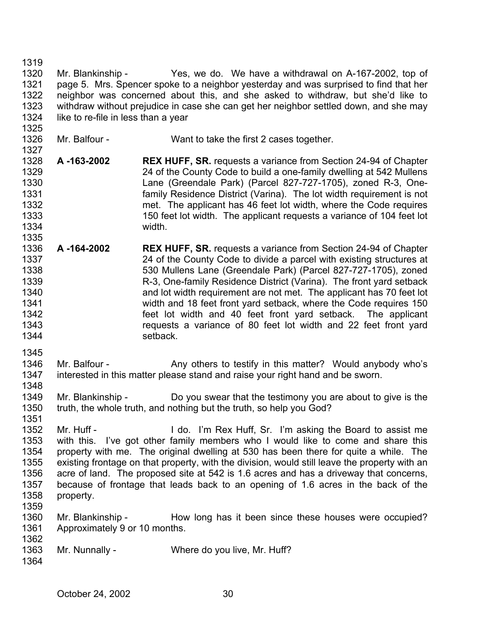1319 1320 1321 1322 1323 1324 Mr. Blankinship - Yes, we do. We have a withdrawal on A-167-2002, top of page 5. Mrs. Spencer spoke to a neighbor yesterday and was surprised to find that her neighbor was concerned about this, and she asked to withdraw, but she'd like to withdraw without prejudice in case she can get her neighbor settled down, and she may like to re-file in less than a year

- 1326 1327 Mr. Balfour - Want to take the first 2 cases together.
- 1328 1329 1330 1331 1332 1333 1334 **A -163-2002 REX HUFF, SR.** requests a variance from Section 24-94 of Chapter 24 of the County Code to build a one-family dwelling at 542 Mullens Lane (Greendale Park) (Parcel 827-727-1705), zoned R-3, Onefamily Residence District (Varina). The lot width requirement is not met. The applicant has 46 feet lot width, where the Code requires 150 feet lot width. The applicant requests a variance of 104 feet lot width.
- 1336 1337 1338 1339 1340 1341 1342 1343 1344 **A -164-2002 REX HUFF, SR.** requests a variance from Section 24-94 of Chapter 24 of the County Code to divide a parcel with existing structures at 530 Mullens Lane (Greendale Park) (Parcel 827-727-1705), zoned R-3, One-family Residence District (Varina). The front yard setback and lot width requirement are not met. The applicant has 70 feet lot width and 18 feet front yard setback, where the Code requires 150 feet lot width and 40 feet front yard setback. The applicant requests a variance of 80 feet lot width and 22 feet front yard setback.
- 1345 1346 1347 Mr. Balfour - Any others to testify in this matter? Would anybody who's interested in this matter please stand and raise your right hand and be sworn.
- 1349 1350 1351 Mr. Blankinship - Do you swear that the testimony you are about to give is the truth, the whole truth, and nothing but the truth, so help you God?
- 1352 1353 1354 1355 1356 1357 1358 1359 Mr. Huff - The Music Lim Rex Huff, Sr. I'm asking the Board to assist me with this. I've got other family members who I would like to come and share this property with me. The original dwelling at 530 has been there for quite a while. The existing frontage on that property, with the division, would still leave the property with an acre of land. The proposed site at 542 is 1.6 acres and has a driveway that concerns, because of frontage that leads back to an opening of 1.6 acres in the back of the property.
- 1360 1361 1362 Mr. Blankinship - The How long has it been since these houses were occupied? Approximately 9 or 10 months.
- 1363 Mr. Nunnally - Where do you live, Mr. Huff?
- 1364

1325

1335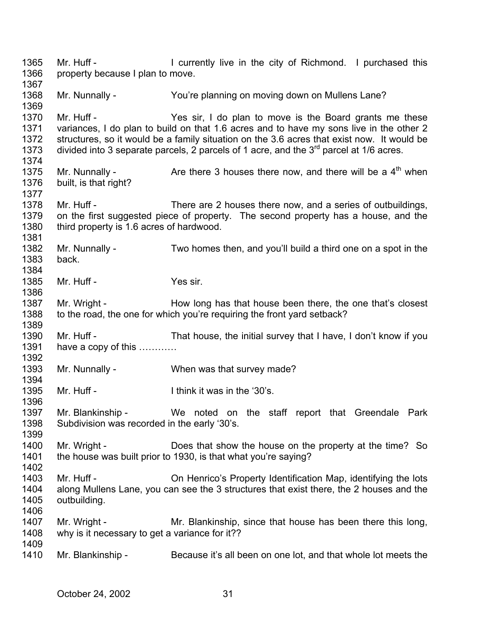1365 1366 1367 1368 1369 1370 1371 1372 1373 1374 1375 1376 1377 1378 1379 1380 1381 1382 1383 1384 1385 1386 1387 1388 1389 1390 1391 1392 1393 1394 1395 1396 1397 1398 1399 1400 1401 1402 1403 1404 1405 1406 1407 1408 1409 1410 Mr. Huff - The I currently live in the city of Richmond. I purchased this property because I plan to move. Mr. Nunnally - The You're planning on moving down on Mullens Lane? Mr. Huff - The Yes sir, I do plan to move is the Board grants me these variances, I do plan to build on that 1.6 acres and to have my sons live in the other 2 structures, so it would be a family situation on the 3.6 acres that exist now. It would be divided into 3 separate parcels, 2 parcels of 1 acre, and the  $3<sup>rd</sup>$  parcel at 1/6 acres. Mr. Nunnally -  $\blacksquare$  Are there 3 houses there now, and there will be a 4<sup>th</sup> when built, is that right? Mr. Huff - There are 2 houses there now, and a series of outbuildings, on the first suggested piece of property. The second property has a house, and the third property is 1.6 acres of hardwood. Mr. Nunnally - Two homes then, and you'll build a third one on a spot in the back. Mr. Huff - Yes sir. Mr. Wright - How long has that house been there, the one that's closest to the road, the one for which you're requiring the front yard setback? Mr. Huff - That house, the initial survey that I have, I don't know if you have a copy of this ………… Mr. Nunnally - When was that survey made? Mr. Huff - Think it was in the '30's. Mr. Blankinship - We noted on the staff report that Greendale Park Subdivision was recorded in the early '30's. Mr. Wright - Does that show the house on the property at the time? So the house was built prior to 1930, is that what you're saying? Mr. Huff - Con Henrico's Property Identification Map, identifying the lots along Mullens Lane, you can see the 3 structures that exist there, the 2 houses and the outbuilding. Mr. Wright - Mr. Blankinship, since that house has been there this long, why is it necessary to get a variance for it?? Mr. Blankinship - Because it's all been on one lot, and that whole lot meets the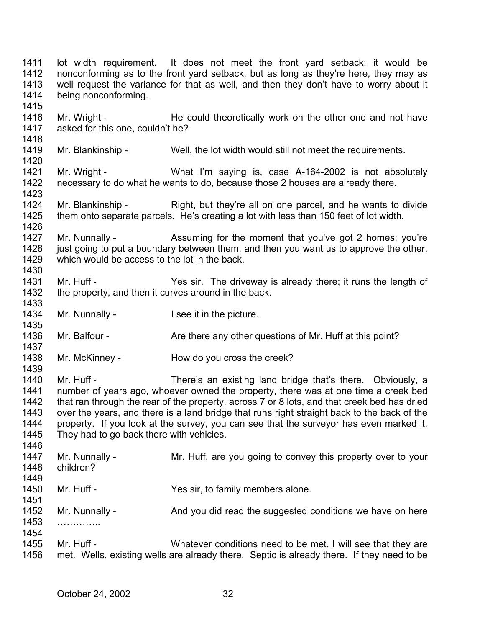1411 1412 1413 1414 1415 1416 1417 1418 1419 1420 1421 1422 1423 1424 1425 1426 1427 1428 1429 1430 1431 1432 1433 1434 1435 1436 1437 1438 1439 1440 1441 1442 1443 1444 1445 1446 1447 1448 1449 1450 1451 1452 1453 1454 1455 1456 lot width requirement. It does not meet the front yard setback; it would be nonconforming as to the front yard setback, but as long as they're here, they may as well request the variance for that as well, and then they don't have to worry about it being nonconforming. Mr. Wright - He could theoretically work on the other one and not have asked for this one, couldn't he? Mr. Blankinship - Well, the lot width would still not meet the requirements. Mr. Wright - What I'm saying is, case A-164-2002 is not absolutely necessary to do what he wants to do, because those 2 houses are already there. Mr. Blankinship - Right, but they're all on one parcel, and he wants to divide them onto separate parcels. He's creating a lot with less than 150 feet of lot width. Mr. Nunnally - Assuming for the moment that you've got 2 homes; you're just going to put a boundary between them, and then you want us to approve the other, which would be access to the lot in the back. Mr. Huff - Yes sir. The driveway is already there; it runs the length of the property, and then it curves around in the back. Mr. Nunnally - I see it in the picture. Mr. Balfour - Are there any other questions of Mr. Huff at this point? Mr. McKinney - The How do you cross the creek? Mr. Huff - There's an existing land bridge that's there. Obviously, a number of years ago, whoever owned the property, there was at one time a creek bed that ran through the rear of the property, across 7 or 8 lots, and that creek bed has dried over the years, and there is a land bridge that runs right straight back to the back of the property. If you look at the survey, you can see that the surveyor has even marked it. They had to go back there with vehicles. Mr. Nunnally - Mr. Huff, are you going to convey this property over to your children? Mr. Huff - Yes sir, to family members alone. Mr. Nunnally - And you did read the suggested conditions we have on here ………….. Mr. Huff - Whatever conditions need to be met, I will see that they are met. Wells, existing wells are already there. Septic is already there. If they need to be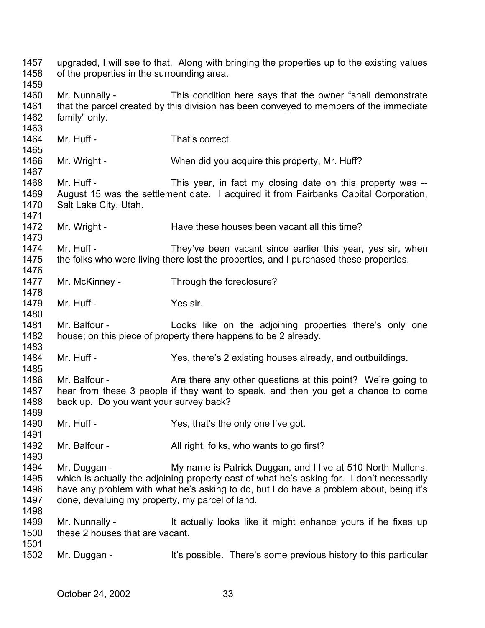1457 1458 1459 1460 1461 1462 1463 1464 1465 1466 1467 1468 1469 1470 1471 1472 1473 1474 1475 1476 1477 1478 1479 1480 1481 1482 1483 1484 1485 1486 1487 1488 1489 1490 1491 1492 1493 1494 1495 1496 1497 1498 1499 1500 1501 1502 upgraded, I will see to that. Along with bringing the properties up to the existing values of the properties in the surrounding area. Mr. Nunnally - This condition here says that the owner "shall demonstrate that the parcel created by this division has been conveyed to members of the immediate family" only. Mr. Huff - That's correct. Mr. Wright - When did you acquire this property, Mr. Huff? Mr. Huff - This year, in fact my closing date on this property was --August 15 was the settlement date. I acquired it from Fairbanks Capital Corporation, Salt Lake City, Utah. Mr. Wright - Have these houses been vacant all this time? Mr. Huff - They've been vacant since earlier this year, yes sir, when the folks who were living there lost the properties, and I purchased these properties. Mr. McKinney - Through the foreclosure? Mr. Huff - Yes sir. Mr. Balfour - The Looks like on the adjoining properties there's only one house; on this piece of property there happens to be 2 already. Mr. Huff - Yes, there's 2 existing houses already, and outbuildings. Mr. Balfour - Are there any other questions at this point? We're going to hear from these 3 people if they want to speak, and then you get a chance to come back up. Do you want your survey back? Mr. Huff - Yes, that's the only one I've got. Mr. Balfour - All right, folks, who wants to go first? Mr. Duggan - My name is Patrick Duggan, and I live at 510 North Mullens, which is actually the adjoining property east of what he's asking for. I don't necessarily have any problem with what he's asking to do, but I do have a problem about, being it's done, devaluing my property, my parcel of land. Mr. Nunnally - It actually looks like it might enhance yours if he fixes up these 2 houses that are vacant. Mr. Duggan - It's possible. There's some previous history to this particular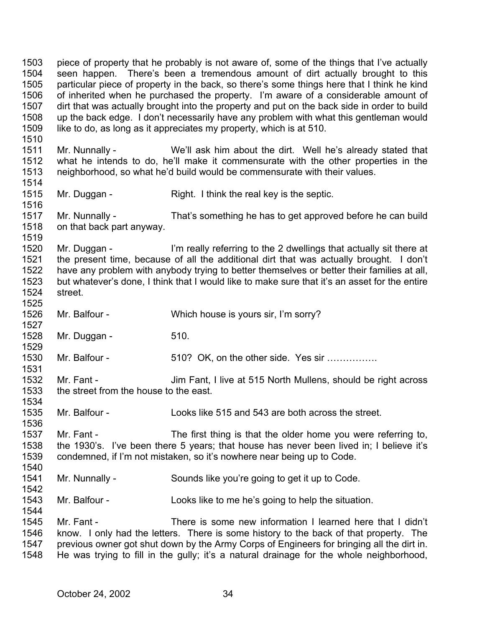1503 1504 1505 1506 1507 1508 1509 1510 piece of property that he probably is not aware of, some of the things that I've actually seen happen. There's been a tremendous amount of dirt actually brought to this particular piece of property in the back, so there's some things here that I think he kind of inherited when he purchased the property. I'm aware of a considerable amount of dirt that was actually brought into the property and put on the back side in order to build up the back edge. I don't necessarily have any problem with what this gentleman would like to do, as long as it appreciates my property, which is at 510.

1511 1512 1513 Mr. Nunnally - We'll ask him about the dirt. Well he's already stated that what he intends to do, he'll make it commensurate with the other properties in the neighborhood, so what he'd build would be commensurate with their values.

1515 Mr. Duggan - Right. I think the real key is the septic.

1517 1518 Mr. Nunnally - That's something he has to get approved before he can build on that back part anyway.

- 1520 1521 1522 1523 1524 Mr. Duggan - I'm really referring to the 2 dwellings that actually sit there at the present time, because of all the additional dirt that was actually brought. I don't have any problem with anybody trying to better themselves or better their families at all, but whatever's done, I think that I would like to make sure that it's an asset for the entire street.
- 1526 Mr. Balfour - Which house is yours sir, I'm sorry?
- 1528 Mr. Duggan - 510.

1514

1516

1519

1525

1527

1529

1531

1536

1542

1544

- 1530 Mr. Balfour - 510? OK, on the other side. Yes sir ................
- 1532 1533 1534 Mr. Fant - Jim Fant, I live at 515 North Mullens, should be right across the street from the house to the east.
- 1535 Mr. Balfour - Looks like 515 and 543 are both across the street.

1537 1538 1539 1540 Mr. Fant - The first thing is that the older home you were referring to, the 1930's. I've been there 5 years; that house has never been lived in; I believe it's condemned, if I'm not mistaken, so it's nowhere near being up to Code.

- 1541 Mr. Nunnally - Sounds like you're going to get it up to Code.
- 1543 Mr. Balfour - Looks like to me he's going to help the situation.

1545 1546 1547 1548 Mr. Fant - There is some new information I learned here that I didn't know. I only had the letters. There is some history to the back of that property. The previous owner got shut down by the Army Corps of Engineers for bringing all the dirt in. He was trying to fill in the gully; it's a natural drainage for the whole neighborhood,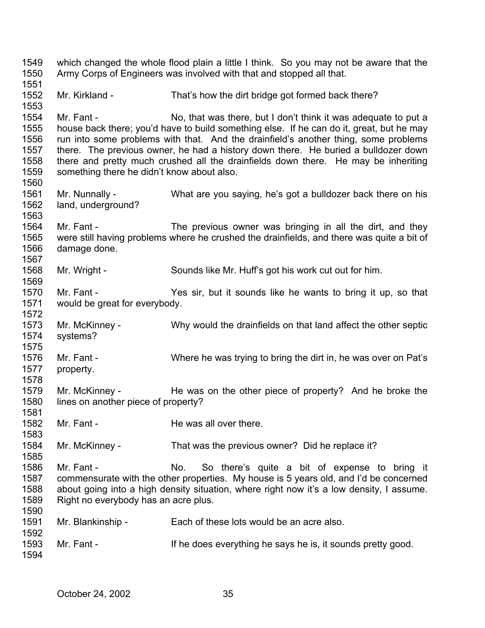1549 1550 1551 1552 1553 1554 1555 1556 1557 1558 1559 1560 1561 1562 1563 1564 1565 1566 1567 1568 1569 1570 1571 1572 1573 1574 1575 1576 1577 1578 1579 1580 1581 1582 1583 1584 1585 1586 1587 1588 1589 1590 1591 1592 1593 1594 which changed the whole flood plain a little I think. So you may not be aware that the Army Corps of Engineers was involved with that and stopped all that. Mr. Kirkland - That's how the dirt bridge got formed back there? Mr. Fant - No, that was there, but I don't think it was adequate to put a house back there; you'd have to build something else. If he can do it, great, but he may run into some problems with that. And the drainfield's another thing, some problems there. The previous owner, he had a history down there. He buried a bulldozer down there and pretty much crushed all the drainfields down there. He may be inheriting something there he didn't know about also. Mr. Nunnally - What are you saying, he's got a bulldozer back there on his land, underground? Mr. Fant - The previous owner was bringing in all the dirt, and they were still having problems where he crushed the drainfields, and there was quite a bit of damage done. Mr. Wright - Sounds like Mr. Huff's got his work cut out for him. Mr. Fant - The Yes sir, but it sounds like he wants to bring it up, so that would be great for everybody. Mr. McKinney - Why would the drainfields on that land affect the other septic systems? Mr. Fant - Where he was trying to bring the dirt in, he was over on Pat's property. Mr. McKinney - He was on the other piece of property? And he broke the lines on another piece of property? Mr. Fant - The was all over there. Mr. McKinney - That was the previous owner? Did he replace it? Mr. Fant - The Mo. So there's quite a bit of expense to bring it commensurate with the other properties. My house is 5 years old, and I'd be concerned about going into a high density situation, where right now it's a low density, I assume. Right no everybody has an acre plus. Mr. Blankinship - Each of these lots would be an acre also. Mr. Fant - If he does everything he says he is, it sounds pretty good.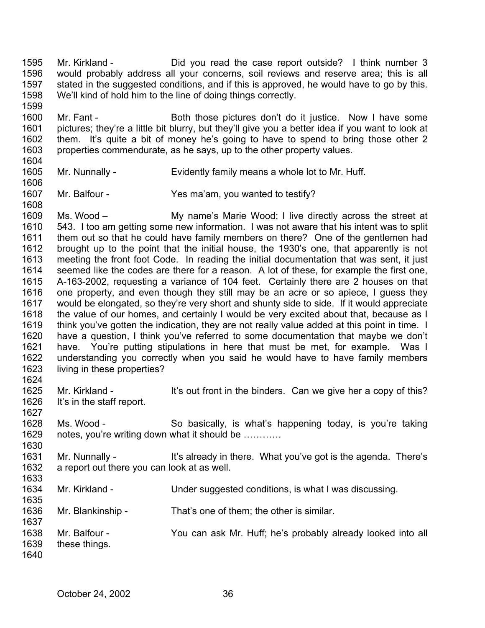1595 1596 1597 1598 1599 Mr. Kirkland - Think Did you read the case report outside? I think number 3 would probably address all your concerns, soil reviews and reserve area; this is all stated in the suggested conditions, and if this is approved, he would have to go by this. We'll kind of hold him to the line of doing things correctly.

1600 1601 1602 1603 1604 Mr. Fant - Both those pictures don't do it justice. Now I have some pictures; they're a little bit blurry, but they'll give you a better idea if you want to look at them. It's quite a bit of money he's going to have to spend to bring those other 2 properties commendurate, as he says, up to the other property values.

- 1605 Mr. Nunnally - Evidently family means a whole lot to Mr. Huff.
- 1607 Mr. Balfour - Yes ma'am, you wanted to testify?

1606

1608

1627

1630

1635

1637

1609 1610 1611 1612 1613 1614 1615 1616 1617 1618 1619 1620 1621 1622 1623 1624 Ms. Wood – My name's Marie Wood; I live directly across the street at 543. I too am getting some new information. I was not aware that his intent was to split them out so that he could have family members on there? One of the gentlemen had brought up to the point that the initial house, the 1930's one, that apparently is not meeting the front foot Code. In reading the initial documentation that was sent, it just seemed like the codes are there for a reason. A lot of these, for example the first one, A-163-2002, requesting a variance of 104 feet. Certainly there are 2 houses on that one property, and even though they still may be an acre or so apiece, I guess they would be elongated, so they're very short and shunty side to side. If it would appreciate the value of our homes, and certainly I would be very excited about that, because as I think you've gotten the indication, they are not really value added at this point in time. I have a question, I think you've referred to some documentation that maybe we don't have. You're putting stipulations in here that must be met, for example. Was I understanding you correctly when you said he would have to have family members living in these properties?

- 1625 1626 Mr. Kirkland - It's out front in the binders. Can we give her a copy of this? It's in the staff report.
- 1628 1629 Ms. Wood - So basically, is what's happening today, is you're taking notes, you're writing down what it should be …………
- 1631 1632 1633 Mr. Nunnally - It's already in there. What you've got is the agenda. There's a report out there you can look at as well.
- 1634 Mr. Kirkland - The Under suggested conditions, is what I was discussing.
- 1636 Mr. Blankinship - That's one of them; the other is similar.
- 1638 1639 1640 Mr. Balfour - You can ask Mr. Huff; he's probably already looked into all these things.
	- October 24, 2002 36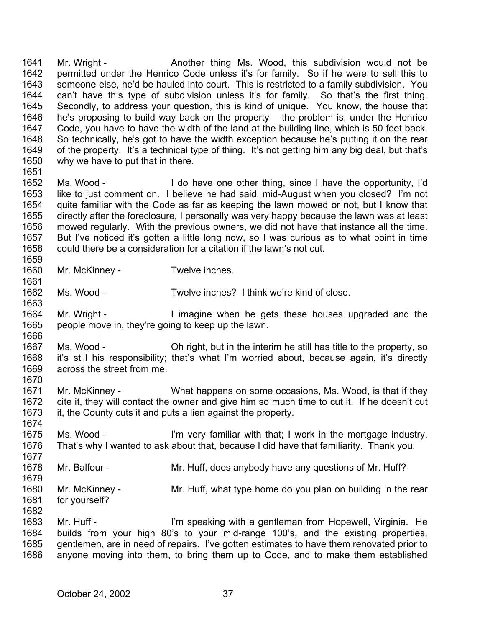1641 1642 1643 1644 1645 1646 1647 1648 1649 1650 1651 Mr. Wright - Another thing Ms. Wood, this subdivision would not be permitted under the Henrico Code unless it's for family. So if he were to sell this to someone else, he'd be hauled into court. This is restricted to a family subdivision. You can't have this type of subdivision unless it's for family. So that's the first thing. Secondly, to address your question, this is kind of unique. You know, the house that he's proposing to build way back on the property – the problem is, under the Henrico Code, you have to have the width of the land at the building line, which is 50 feet back. So technically, he's got to have the width exception because he's putting it on the rear of the property. It's a technical type of thing. It's not getting him any big deal, but that's why we have to put that in there.

- 1652 1653 1654 1655 1656 1657 1658 1659 Ms. Wood - I do have one other thing, since I have the opportunity, I'd like to just comment on. I believe he had said, mid-August when you closed? I'm not quite familiar with the Code as far as keeping the lawn mowed or not, but I know that directly after the foreclosure, I personally was very happy because the lawn was at least mowed regularly. With the previous owners, we did not have that instance all the time. But I've noticed it's gotten a little long now, so I was curious as to what point in time could there be a consideration for a citation if the lawn's not cut.
- 1660 Mr. McKinney - Twelve inches.

1661

1663

1666

1674

1677

- 1662 Ms. Wood - Twelve inches? I think we're kind of close.
- 1664 1665 Mr. Wright - I imagine when he gets these houses upgraded and the people move in, they're going to keep up the lawn.
- 1667 1668 1669 1670 Ms. Wood - Chright, but in the interim he still has title to the property, so it's still his responsibility; that's what I'm worried about, because again, it's directly across the street from me.
- 1671 1672 1673 Mr. McKinney - What happens on some occasions, Ms. Wood, is that if they cite it, they will contact the owner and give him so much time to cut it. If he doesn't cut it, the County cuts it and puts a lien against the property.
- 1675 1676 Ms. Wood - I'm very familiar with that; I work in the mortgage industry. That's why I wanted to ask about that, because I did have that familiarity. Thank you.
- 1678 Mr. Balfour - Mr. Huff, does anybody have any questions of Mr. Huff?
- 1679 1680 1681 Mr. McKinney - Mr. Huff, what type home do you plan on building in the rear for yourself?
- 1683 1684 1685 1686 Mr. Huff - I'm speaking with a gentleman from Hopewell, Virginia. He builds from your high 80's to your mid-range 100's, and the existing properties, gentlemen, are in need of repairs. I've gotten estimates to have them renovated prior to anyone moving into them, to bring them up to Code, and to make them established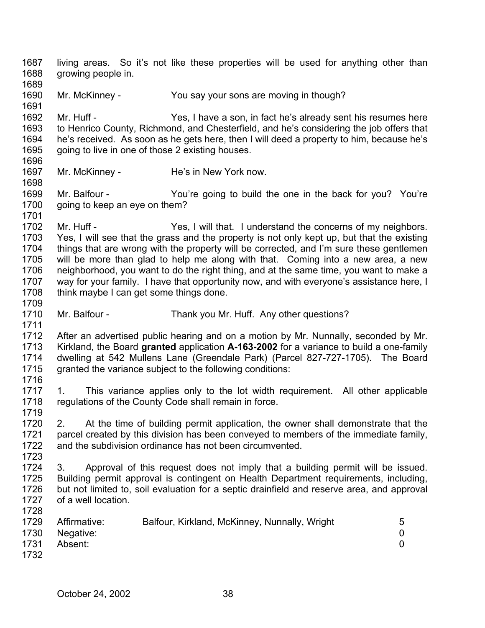1687 1688 1689 1690 1691 1692 1693 1694 1695 1696 1697 1698 1699 1700 1701 1702 1703 1704 1705 1706 1707 1708 1709 1710 1711 1712 1713 1714 1715 1716 1717 1718 1719 1720 1721 1722 1723 1724 1725 1726 1727 1728 1729 1730 1731 1732 living areas. So it's not like these properties will be used for anything other than growing people in. Mr. McKinney - You say your sons are moving in though? Mr. Huff - Yes, I have a son, in fact he's already sent his resumes here to Henrico County, Richmond, and Chesterfield, and he's considering the job offers that he's received. As soon as he gets here, then I will deed a property to him, because he's going to live in one of those 2 existing houses. Mr. McKinney - The's in New York now. Mr. Balfour - The You're going to build the one in the back for you? You're going to keep an eye on them? Mr. Huff - Yes, I will that. I understand the concerns of my neighbors. Yes, I will see that the grass and the property is not only kept up, but that the existing things that are wrong with the property will be corrected, and I'm sure these gentlemen will be more than glad to help me along with that. Coming into a new area, a new neighborhood, you want to do the right thing, and at the same time, you want to make a way for your family. I have that opportunity now, and with everyone's assistance here, I think maybe I can get some things done. Mr. Balfour - Thank you Mr. Huff. Any other questions? After an advertised public hearing and on a motion by Mr. Nunnally, seconded by Mr. Kirkland, the Board **granted** application **A-163-2002** for a variance to build a one-family dwelling at 542 Mullens Lane (Greendale Park) (Parcel 827-727-1705). The Board granted the variance subject to the following conditions: 1. This variance applies only to the lot width requirement. All other applicable regulations of the County Code shall remain in force. 2. At the time of building permit application, the owner shall demonstrate that the parcel created by this division has been conveyed to members of the immediate family, and the subdivision ordinance has not been circumvented. 3. Approval of this request does not imply that a building permit will be issued. Building permit approval is contingent on Health Department requirements, including, but not limited to, soil evaluation for a septic drainfield and reserve area, and approval of a well location. Affirmative: Balfour, Kirkland, McKinney, Nunnally, Wright 5 Negative: 0 Absent: 0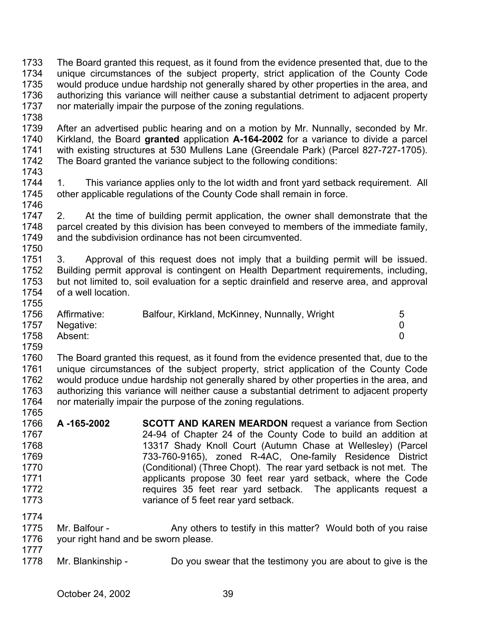| 1733<br>1734 |                                                                                           | The Board granted this request, as it found from the evidence presented that, due to the<br>unique circumstances of the subject property, strict application of the County Code |                |
|--------------|-------------------------------------------------------------------------------------------|---------------------------------------------------------------------------------------------------------------------------------------------------------------------------------|----------------|
| 1735         | would produce undue hardship not generally shared by other properties in the area, and    |                                                                                                                                                                                 |                |
| 1736         | authorizing this variance will neither cause a substantial detriment to adjacent property |                                                                                                                                                                                 |                |
| 1737         |                                                                                           | nor materially impair the purpose of the zoning regulations.                                                                                                                    |                |
| 1738         |                                                                                           |                                                                                                                                                                                 |                |
| 1739         |                                                                                           | After an advertised public hearing and on a motion by Mr. Nunnally, seconded by Mr.                                                                                             |                |
| 1740         |                                                                                           | Kirkland, the Board granted application A-164-2002 for a variance to divide a parcel                                                                                            |                |
| 1741         |                                                                                           | with existing structures at 530 Mullens Lane (Greendale Park) (Parcel 827-727-1705).                                                                                            |                |
| 1742         |                                                                                           | The Board granted the variance subject to the following conditions:                                                                                                             |                |
| 1743         |                                                                                           |                                                                                                                                                                                 |                |
| 1744         | 1.                                                                                        | This variance applies only to the lot width and front yard setback requirement. All                                                                                             |                |
| 1745         |                                                                                           | other applicable regulations of the County Code shall remain in force.                                                                                                          |                |
| 1746         |                                                                                           |                                                                                                                                                                                 |                |
| 1747         | 2.                                                                                        | At the time of building permit application, the owner shall demonstrate that the                                                                                                |                |
| 1748         |                                                                                           | parcel created by this division has been conveyed to members of the immediate family,                                                                                           |                |
| 1749         |                                                                                           | and the subdivision ordinance has not been circumvented.                                                                                                                        |                |
| 1750         |                                                                                           |                                                                                                                                                                                 |                |
| 1751         | 3.                                                                                        | Approval of this request does not imply that a building permit will be issued.                                                                                                  |                |
| 1752         |                                                                                           | Building permit approval is contingent on Health Department requirements, including,                                                                                            |                |
| 1753         |                                                                                           | but not limited to, soil evaluation for a septic drainfield and reserve area, and approval                                                                                      |                |
| 1754         | of a well location.                                                                       |                                                                                                                                                                                 |                |
| 1755         |                                                                                           |                                                                                                                                                                                 |                |
| 1756         | Affirmative:                                                                              | Balfour, Kirkland, McKinney, Nunnally, Wright                                                                                                                                   | 5              |
| 1757         | Negative:                                                                                 |                                                                                                                                                                                 | 0              |
| 1758         | Absent:                                                                                   |                                                                                                                                                                                 | $\overline{0}$ |
| 1759         |                                                                                           |                                                                                                                                                                                 |                |
| 1760         |                                                                                           | The Board granted this request, as it found from the evidence presented that, due to the                                                                                        |                |
| 1761         |                                                                                           | unique circumstances of the subject property, strict application of the County Code                                                                                             |                |
| 1762         |                                                                                           | would produce undue hardship not generally shared by other properties in the area, and                                                                                          |                |
| 1763         |                                                                                           | authorizing this variance will neither cause a substantial detriment to adjacent property                                                                                       |                |
| 1764         |                                                                                           | nor materially impair the purpose of the zoning regulations.                                                                                                                    |                |
| 1765         |                                                                                           |                                                                                                                                                                                 |                |
| 1766         | A-165-2002                                                                                | <b>SCOTT AND KAREN MEARDON</b> request a variance from Section                                                                                                                  |                |
| 1767         |                                                                                           | 24-94 of Chapter 24 of the County Code to build an addition at                                                                                                                  |                |
| 1768         |                                                                                           | 13317 Shady Knoll Court (Autumn Chase at Wellesley) (Parcel                                                                                                                     |                |
| 1769         |                                                                                           | 733-760-9165), zoned R-4AC, One-family Residence District                                                                                                                       |                |
| 1770         |                                                                                           | (Conditional) (Three Chopt). The rear yard setback is not met. The                                                                                                              |                |
| 1771         |                                                                                           | applicants propose 30 feet rear yard setback, where the Code                                                                                                                    |                |
| 1772         |                                                                                           | requires 35 feet rear yard setback. The applicants request a                                                                                                                    |                |
| 1773         |                                                                                           | variance of 5 feet rear yard setback.                                                                                                                                           |                |
| 1774         |                                                                                           |                                                                                                                                                                                 |                |
| 1775         | Mr. Balfour -                                                                             | Any others to testify in this matter? Would both of you raise                                                                                                                   |                |
| 1776         | your right hand and be sworn please.                                                      |                                                                                                                                                                                 |                |
| 1777         |                                                                                           |                                                                                                                                                                                 |                |
| 1778         | Mr. Blankinship -                                                                         | Do you swear that the testimony you are about to give is the                                                                                                                    |                |
|              |                                                                                           |                                                                                                                                                                                 |                |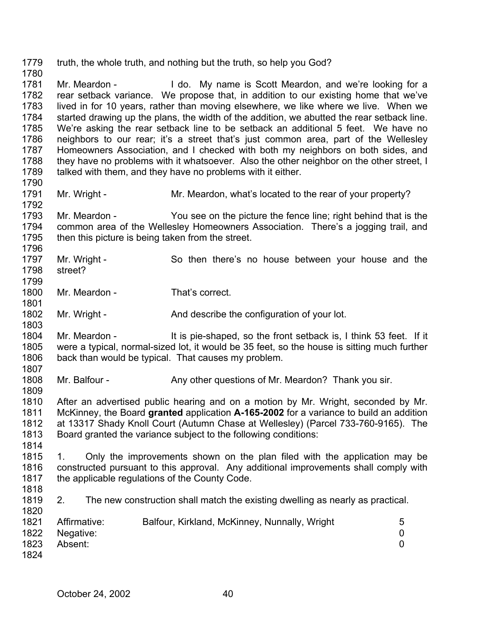1779 truth, the whole truth, and nothing but the truth, so help you God?

1781 1782 1783 1784 1785 1786 1787 1788 1789 Mr. Meardon *-* I do. My name is Scott Meardon, and we're looking for a rear setback variance. We propose that, in addition to our existing home that we've lived in for 10 years, rather than moving elsewhere, we like where we live. When we started drawing up the plans, the width of the addition, we abutted the rear setback line. We're asking the rear setback line to be setback an additional 5 feet. We have no neighbors to our rear; it's a street that's just common area, part of the Wellesley Homeowners Association, and I checked with both my neighbors on both sides, and they have no problems with it whatsoever. Also the other neighbor on the other street, I talked with them, and they have no problems with it either.

1790 1791

1792

1801

1803

1807

1809

1814

1820

1780

Mr. Wright - Mr. Meardon, what's located to the rear of your property?

1793 1794 1795 1796 Mr. Meardon - You see on the picture the fence line; right behind that is the common area of the Wellesley Homeowners Association. There's a jogging trail, and then this picture is being taken from the street.

1797 1798 1799 Mr. Wright - So then there's no house between your house and the street?

1800 Mr. Meardon - That's correct.

1802 Mr. Wright - And describe the configuration of your lot.

1804 1805 1806 Mr. Meardon - The shaped, so the front setback is, I think 53 feet. If it were a typical, normal-sized lot, it would be 35 feet, so the house is sitting much further back than would be typical. That causes my problem.

1808 Mr. Balfour - Any other questions of Mr. Meardon? Thank you sir.

1810 1811 1812 1813 After an advertised public hearing and on a motion by Mr. Wright, seconded by Mr. McKinney, the Board **granted** application **A-165-2002** for a variance to build an addition at 13317 Shady Knoll Court (Autumn Chase at Wellesley) (Parcel 733-760-9165). The Board granted the variance subject to the following conditions:

1815 1816 1817 1818 1. Only the improvements shown on the plan filed with the application may be constructed pursuant to this approval. Any additional improvements shall comply with the applicable regulations of the County Code.

1819 2. The new construction shall match the existing dwelling as nearly as practical.

| 1821 | Affirmative:   | Balfour, Kirkland, McKinney, Nunnally, Wright |  |
|------|----------------|-----------------------------------------------|--|
|      | 1822 Negative: |                                               |  |
| 1823 | Absent:        |                                               |  |
| 1824 |                |                                               |  |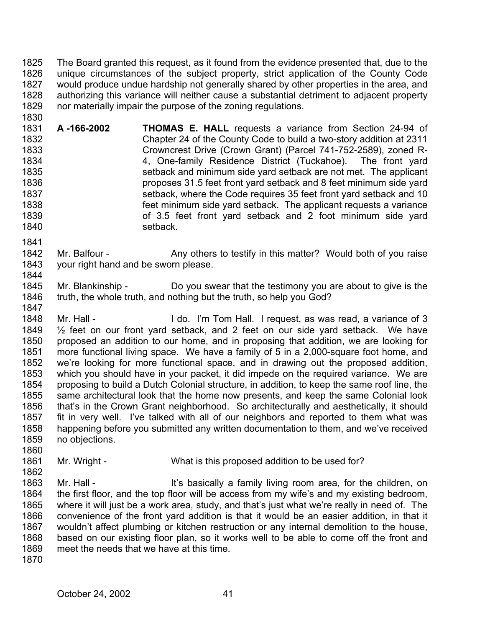1825 1826 1827 1828 1829 The Board granted this request, as it found from the evidence presented that, due to the unique circumstances of the subject property, strict application of the County Code would produce undue hardship not generally shared by other properties in the area, and authorizing this variance will neither cause a substantial detriment to adjacent property nor materially impair the purpose of the zoning regulations.

- 1831 1832 1833 1834 1835 1836 1837 1838 1839 1840 **A -166-2002 THOMAS E. HALL** requests a variance from Section 24-94 of Chapter 24 of the County Code to build a two-story addition at 2311 Crowncrest Drive (Crown Grant) (Parcel 741-752-2589), zoned R-4, One-family Residence District (Tuckahoe). The front yard setback and minimum side yard setback are not met. The applicant proposes 31.5 feet front yard setback and 8 feet minimum side yard setback, where the Code requires 35 feet front yard setback and 10 feet minimum side yard setback. The applicant requests a variance of 3.5 feet front yard setback and 2 foot minimum side yard setback.
- 1841

1830

- 1842 1843 1844 Mr. Balfour - Any others to testify in this matter? Would both of you raise your right hand and be sworn please.
- 1845 1846 1847 Mr. Blankinship - Do you swear that the testimony you are about to give is the truth, the whole truth, and nothing but the truth, so help you God?
- 1848 1849 1850 1851 1852 1853 1854 1855 1856 1857 1858 1859 1860 Mr. Hall - I do. I'm Tom Hall. I request, as was read, a variance of 3  $\frac{1}{2}$  feet on our front yard setback, and 2 feet on our side yard setback. We have proposed an addition to our home, and in proposing that addition, we are looking for more functional living space. We have a family of 5 in a 2,000-square foot home, and we're looking for more functional space, and in drawing out the proposed addition, which you should have in your packet, it did impede on the required variance. We are proposing to build a Dutch Colonial structure, in addition, to keep the same roof line, the same architectural look that the home now presents, and keep the same Colonial look that's in the Crown Grant neighborhood. So architecturally and aesthetically, it should fit in very well. I've talked with all of our neighbors and reported to them what was happening before you submitted any written documentation to them, and we've received no objections.
- 1861 Mr. Wright - What is this proposed addition to be used for?
- 1863 1864 1865 1866 1867 1868 1869 Mr. Hall - It's basically a family living room area, for the children, on the first floor, and the top floor will be access from my wife's and my existing bedroom, where it will just be a work area, study, and that's just what we're really in need of. The convenience of the front yard addition is that it would be an easier addition, in that it wouldn't affect plumbing or kitchen restruction or any internal demolition to the house, based on our existing floor plan, so it works well to be able to come off the front and meet the needs that we have at this time.
- 1870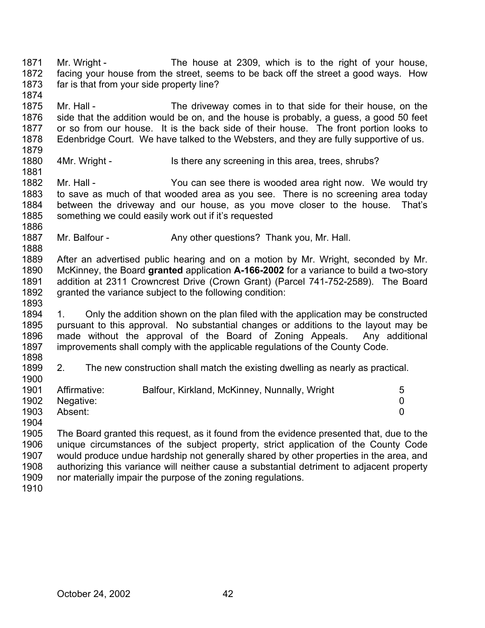1871 1872 1873 1874 Mr. Wright - The house at 2309, which is to the right of your house, facing your house from the street, seems to be back off the street a good ways. How far is that from your side property line?

1875 1876 1877 1878 1879 Mr. Hall - The driveway comes in to that side for their house, on the side that the addition would be on, and the house is probably, a guess, a good 50 feet or so from our house. It is the back side of their house. The front portion looks to Edenbridge Court. We have talked to the Websters, and they are fully supportive of us.

1880 4Mr. Wright - Is there any screening in this area, trees, shrubs?

1882 1883 1884 1885 Mr. Hall - The You can see there is wooded area right now. We would try to save as much of that wooded area as you see. There is no screening area today between the driveway and our house, as you move closer to the house. That's something we could easily work out if it's requested

1887 Mr. Balfour - Any other questions? Thank you, Mr. Hall.

1889 1890 1891 1892 After an advertised public hearing and on a motion by Mr. Wright, seconded by Mr. McKinney, the Board **granted** application **A-166-2002** for a variance to build a two-story addition at 2311 Crowncrest Drive (Crown Grant) (Parcel 741-752-2589). The Board granted the variance subject to the following condition:

1894 1895 1896 1897 1898 1. Only the addition shown on the plan filed with the application may be constructed pursuant to this approval. No substantial changes or additions to the layout may be made without the approval of the Board of Zoning Appeals. Any additional improvements shall comply with the applicable regulations of the County Code.

1899 2. The new construction shall match the existing dwelling as nearly as practical.

| 1901 | Affirmative:   | Balfour, Kirkland, McKinney, Nunnally, Wright | 5 |
|------|----------------|-----------------------------------------------|---|
|      | 1902 Negative: |                                               |   |
| 1903 | Absent:        |                                               |   |
| 1904 |                |                                               |   |

1905 1906 1907 1908 1909 The Board granted this request, as it found from the evidence presented that, due to the unique circumstances of the subject property, strict application of the County Code would produce undue hardship not generally shared by other properties in the area, and authorizing this variance will neither cause a substantial detriment to adjacent property nor materially impair the purpose of the zoning regulations.

1910

1881

1886

1888

1893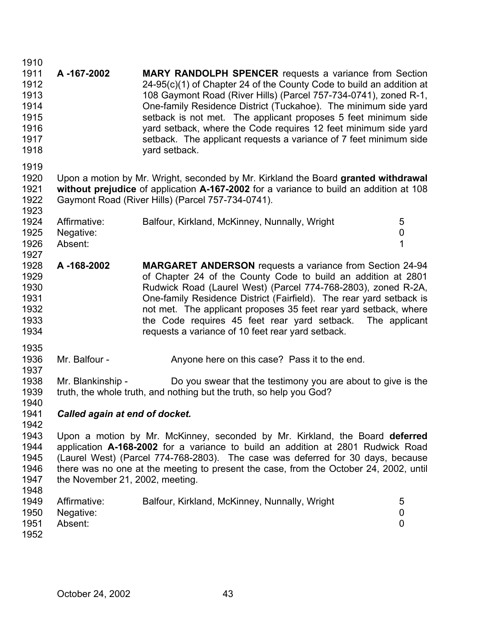| 1910<br>1911<br>1912<br>1913<br>1914<br>1915<br>1916<br>1917<br>1918 | A-167-2002                                                                                                                                                                                                                                                                                                                                                                    | <b>MARY RANDOLPH SPENCER</b> requests a variance from Section<br>$24-95(c)(1)$ of Chapter 24 of the County Code to build an addition at<br>108 Gaymont Road (River Hills) (Parcel 757-734-0741), zoned R-1,<br>One-family Residence District (Tuckahoe). The minimum side yard<br>setback is not met. The applicant proposes 5 feet minimum side<br>yard setback, where the Code requires 12 feet minimum side yard<br>setback. The applicant requests a variance of 7 feet minimum side<br>yard setback. |                                  |
|----------------------------------------------------------------------|-------------------------------------------------------------------------------------------------------------------------------------------------------------------------------------------------------------------------------------------------------------------------------------------------------------------------------------------------------------------------------|-----------------------------------------------------------------------------------------------------------------------------------------------------------------------------------------------------------------------------------------------------------------------------------------------------------------------------------------------------------------------------------------------------------------------------------------------------------------------------------------------------------|----------------------------------|
| 1919<br>1920<br>1921<br>1922<br>1923                                 | Upon a motion by Mr. Wright, seconded by Mr. Kirkland the Board granted withdrawal<br>without prejudice of application A-167-2002 for a variance to build an addition at 108<br>Gaymont Road (River Hills) (Parcel 757-734-0741).                                                                                                                                             |                                                                                                                                                                                                                                                                                                                                                                                                                                                                                                           |                                  |
| 1924<br>1925<br>1926<br>1927                                         | Affirmative:<br>Negative:<br>Absent:                                                                                                                                                                                                                                                                                                                                          | Balfour, Kirkland, McKinney, Nunnally, Wright                                                                                                                                                                                                                                                                                                                                                                                                                                                             | 5<br>$\pmb{0}$<br>1              |
| 1928<br>1929<br>1930<br>1931<br>1932<br>1933<br>1934                 | A-168-2002                                                                                                                                                                                                                                                                                                                                                                    | <b>MARGARET ANDERSON</b> requests a variance from Section 24-94<br>of Chapter 24 of the County Code to build an addition at 2801<br>Rudwick Road (Laurel West) (Parcel 774-768-2803), zoned R-2A,<br>One-family Residence District (Fairfield). The rear yard setback is<br>not met. The applicant proposes 35 feet rear yard setback, where<br>the Code requires 45 feet rear yard setback.<br>requests a variance of 10 feet rear yard setback.                                                         | The applicant                    |
| 1935<br>1936<br>1937                                                 | Mr. Balfour -                                                                                                                                                                                                                                                                                                                                                                 | Anyone here on this case? Pass it to the end.                                                                                                                                                                                                                                                                                                                                                                                                                                                             |                                  |
| 1938<br>1939<br>1940                                                 | Mr. Blankinship -<br>Do you swear that the testimony you are about to give is the<br>truth, the whole truth, and nothing but the truth, so help you God?                                                                                                                                                                                                                      |                                                                                                                                                                                                                                                                                                                                                                                                                                                                                                           |                                  |
| 1941<br>1942                                                         | Called again at end of docket.                                                                                                                                                                                                                                                                                                                                                |                                                                                                                                                                                                                                                                                                                                                                                                                                                                                                           |                                  |
| 1943<br>1944<br>1945<br>1946<br>1947<br>1948                         | Upon a motion by Mr. McKinney, seconded by Mr. Kirkland, the Board deferred<br>application A-168-2002 for a variance to build an addition at 2801 Rudwick Road<br>(Laurel West) (Parcel 774-768-2803). The case was deferred for 30 days, because<br>there was no one at the meeting to present the case, from the October 24, 2002, until<br>the November 21, 2002, meeting. |                                                                                                                                                                                                                                                                                                                                                                                                                                                                                                           |                                  |
| 1949<br>1950<br>1951<br>1952                                         | Affirmative:<br>Negative:<br>Absent:                                                                                                                                                                                                                                                                                                                                          | Balfour, Kirkland, McKinney, Nunnally, Wright                                                                                                                                                                                                                                                                                                                                                                                                                                                             | 5<br>$\pmb{0}$<br>$\overline{0}$ |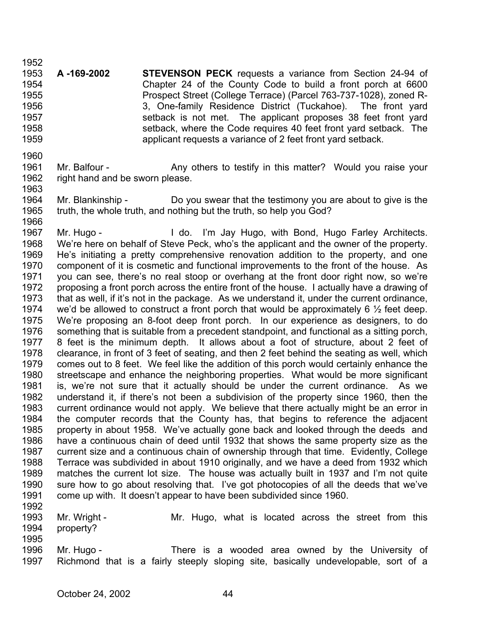1953 1954 1955 1956 1957 1958 1959 **A -169-2002 STEVENSON PECK** requests a variance from Section 24-94 of Chapter 24 of the County Code to build a front porch at 6600 Prospect Street (College Terrace) (Parcel 763-737-1028), zoned R-3, One-family Residence District (Tuckahoe). The front yard setback is not met. The applicant proposes 38 feet front yard setback, where the Code requires 40 feet front yard setback. The applicant requests a variance of 2 feet front yard setback.

- 1960 1961 1962 Mr. Balfour - The Any others to testify in this matter? Would you raise your right hand and be sworn please.
- 1964 1965 Mr. Blankinship - Do you swear that the testimony you are about to give is the truth, the whole truth, and nothing but the truth, so help you God?

1966 1967 1968 1969 1970 1971 1972 1973 1974 1975 1976 1977 1978 1979 1980 1981 1982 1983 1984 1985 1986 1987 1988 1989 1990 1991 1992 Mr. Hugo - The Music Collection Control of The Music Hugo Farley Architects. We're here on behalf of Steve Peck, who's the applicant and the owner of the property. He's initiating a pretty comprehensive renovation addition to the property, and one component of it is cosmetic and functional improvements to the front of the house. As you can see, there's no real stoop or overhang at the front door right now, so we're proposing a front porch across the entire front of the house. I actually have a drawing of that as well, if it's not in the package. As we understand it, under the current ordinance, we'd be allowed to construct a front porch that would be approximately 6  $\frac{1}{2}$  feet deep. We're proposing an 8-foot deep front porch. In our experience as designers, to do something that is suitable from a precedent standpoint, and functional as a sitting porch, 8 feet is the minimum depth. It allows about a foot of structure, about 2 feet of clearance, in front of 3 feet of seating, and then 2 feet behind the seating as well, which comes out to 8 feet. We feel like the addition of this porch would certainly enhance the streetscape and enhance the neighboring properties. What would be more significant is, we're not sure that it actually should be under the current ordinance. As we understand it, if there's not been a subdivision of the property since 1960, then the current ordinance would not apply. We believe that there actually might be an error in the computer records that the County has, that begins to reference the adjacent property in about 1958. We've actually gone back and looked through the deeds and have a continuous chain of deed until 1932 that shows the same property size as the current size and a continuous chain of ownership through that time. Evidently, College Terrace was subdivided in about 1910 originally, and we have a deed from 1932 which matches the current lot size. The house was actually built in 1937 and I'm not quite sure how to go about resolving that. I've got photocopies of all the deeds that we've come up with. It doesn't appear to have been subdivided since 1960.

- 1993 1994 1995 Mr. Wright - The Mr. Hugo, what is located across the street from this property?
- 1996 1997 Mr. Hugo - There is a wooded area owned by the University of Richmond that is a fairly steeply sloping site, basically undevelopable, sort of a

1952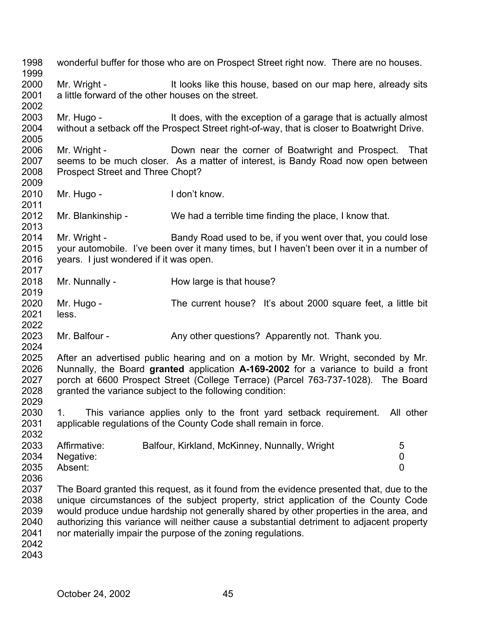1998 1999 2000 2001 2002 2003 2004 2005 2006 2007 2008 2009 2010 2011 2012 2013 2014 2015 2016 2017 2018 2019 2020 2021 2022 2023 2024 2025 2026 2027 2028 2029 2030 2031 2032 2033 2034 2035 2036 2037 2038 2039 2040 2041 2042 2043 wonderful buffer for those who are on Prospect Street right now. There are no houses. Mr. Wright - It looks like this house, based on our map here, already sits a little forward of the other houses on the street. Mr. Hugo - It does, with the exception of a garage that is actually almost without a setback off the Prospect Street right-of-way, that is closer to Boatwright Drive. Mr. Wright - **Down near the corner of Boatwright and Prospect.** That seems to be much closer. As a matter of interest, is Bandy Road now open between Prospect Street and Three Chopt? Mr. Hugo - I don't know. Mr. Blankinship - We had a terrible time finding the place, I know that. Mr. Wright - Bandy Road used to be, if you went over that, you could lose your automobile. I've been over it many times, but I haven't been over it in a number of years. I just wondered if it was open. Mr. Nunnally - **How large is that house?** Mr. Hugo - The current house? It's about 2000 square feet, a little bit less. Mr. Balfour - Any other questions? Apparently not. Thank you. After an advertised public hearing and on a motion by Mr. Wright, seconded by Mr. Nunnally, the Board **granted** application **A-169-2002** for a variance to build a front porch at 6600 Prospect Street (College Terrace) (Parcel 763-737-1028). The Board granted the variance subject to the following condition: 1. This variance applies only to the front yard setback requirement. All other applicable regulations of the County Code shall remain in force. Affirmative: Balfour, Kirkland, McKinney, Nunnally, Wright 5 Negative: 0 Absent: 0 The Board granted this request, as it found from the evidence presented that, due to the unique circumstances of the subject property, strict application of the County Code would produce undue hardship not generally shared by other properties in the area, and authorizing this variance will neither cause a substantial detriment to adjacent property nor materially impair the purpose of the zoning regulations.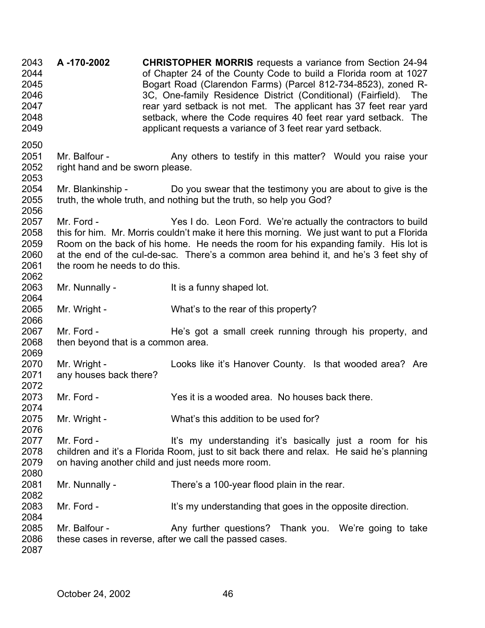**A -170-2002 CHRISTOPHER MORRIS** requests a variance from Section 24-94 of Chapter 24 of the County Code to build a Florida room at 1027 Bogart Road (Clarendon Farms) (Parcel 812-734-8523), zoned R-3C, One-family Residence District (Conditional) (Fairfield). The rear yard setback is not met. The applicant has 37 feet rear yard setback, where the Code requires 40 feet rear yard setback. The applicant requests a variance of 3 feet rear yard setback. 2043 2044 2045 2046 2047 2048 2049 2050 2051 2052 2053 2054 2055 2056 2057 2058 2059 2060 2061 2062 2063 2064 2065 2066 2067 2068 2069 2070 2071 2072 2073 2074 2075 2076 2077 2078 2079 2080 2081 2082 2083 2084 2085 2086 2087 Mr. Balfour - Any others to testify in this matter? Would you raise your right hand and be sworn please. Mr. Blankinship - Do you swear that the testimony you are about to give is the truth, the whole truth, and nothing but the truth, so help you God? Mr. Ford - The Yes I do. Leon Ford. We're actually the contractors to build this for him. Mr. Morris couldn't make it here this morning. We just want to put a Florida Room on the back of his home. He needs the room for his expanding family. His lot is at the end of the cul-de-sac. There's a common area behind it, and he's 3 feet shy of the room he needs to do this. Mr. Nunnally - It is a funny shaped lot. Mr. Wright - What's to the rear of this property? Mr. Ford - The He's got a small creek running through his property, and then beyond that is a common area. Mr. Wright - Looks like it's Hanover County. Is that wooded area? Are any houses back there? Mr. Ford - Yes it is a wooded area. No houses back there. Mr. Wright - What's this addition to be used for? Mr. Ford - The Music of the It's my understanding it's basically just a room for his children and it's a Florida Room, just to sit back there and relax. He said he's planning on having another child and just needs more room. Mr. Nunnally - There's a 100-year flood plain in the rear. Mr. Ford - It's my understanding that goes in the opposite direction. Mr. Balfour - Any further questions? Thank you. We're going to take these cases in reverse, after we call the passed cases.